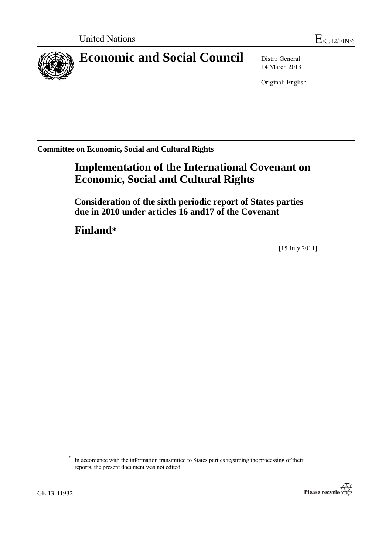

# **Economic and Social Council** Distr.: General

14 March 2013

Original: English

**Committee on Economic, Social and Cultural Rights**

# **Implementation of the International Covenant on Economic, Social and Cultural Rights**

**Consideration of the sixth periodic report of States parties due in 2010 under articles 16 and17 of the Covenant**

**Finland\***

[15 July 2011]

<sup>\*</sup> In accordance with the information transmitted to States parties regarding the processing of their reports, the present document was not edited.

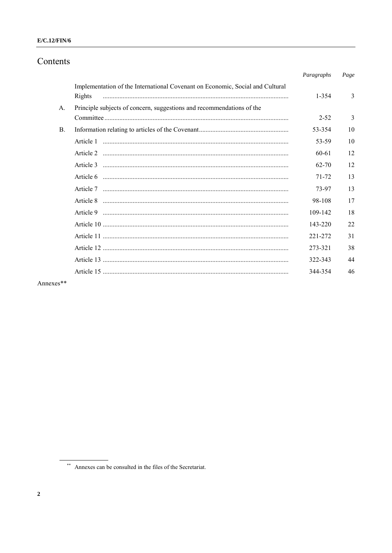# $E/C.12/FIN/6$

# Contents

|             |                                                                                         | Paragraphs | Page |
|-------------|-----------------------------------------------------------------------------------------|------------|------|
|             | Implementation of the International Covenant on Economic, Social and Cultural<br>Rights | 1-354      | 3    |
| $A_{\cdot}$ | Principle subjects of concern, suggestions and recommendations of the                   |            |      |
|             |                                                                                         | $2 - 52$   | 3    |
| <b>B.</b>   |                                                                                         | 53-354     | 10   |
|             |                                                                                         | 53-59      | 10   |
|             |                                                                                         | 60-61      | 12   |
|             |                                                                                         | $62 - 70$  | 12   |
|             |                                                                                         | 71-72      | 13   |
|             |                                                                                         | 73-97      | 13   |
|             |                                                                                         | 98-108     | 17   |
|             |                                                                                         | 109-142    | 18   |
|             |                                                                                         | 143-220    | 22   |
|             |                                                                                         | 221-272    | 31   |
|             |                                                                                         | 273-321    | 38   |
|             |                                                                                         | 322-343    | 44   |
|             |                                                                                         | 344-354    | 46   |
| .           |                                                                                         |            |      |

Annexes\*\*

\*\* Annexes can be consulted in the files of the Secretariat.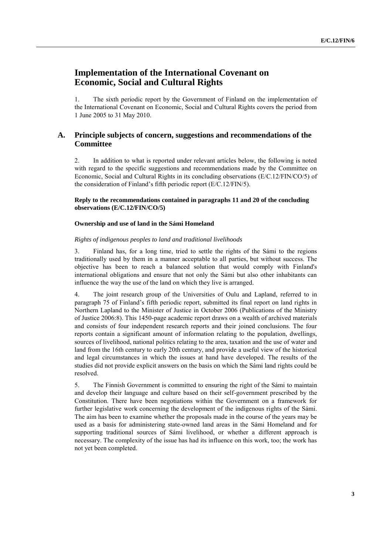# **Implementation of the International Covenant on Economic, Social and Cultural Rights**

1. The sixth periodic report by the Government of Finland on the implementation of the International Covenant on Economic, Social and Cultural Rights covers the period from 1 June 2005 to 31 May 2010.

# **A. Principle subjects of concern, suggestions and recommendations of the Committee**

2. In addition to what is reported under relevant articles below, the following is noted with regard to the specific suggestions and recommendations made by the Committee on Economic, Social and Cultural Rights in its concluding observations (E/C.12/FIN/CO/5) of the consideration of Finland's fifth periodic report (E/C.12/FIN/5).

# **Reply to the recommendations contained in paragraphs 11 and 20 of the concluding observations (E/C.12/FIN/CO/5)**

# **Ownership and use of land in the Sámi Homeland**

# *Rights of indigenous peoples to land and traditional livelihoods*

3. Finland has, for a long time, tried to settle the rights of the Sámi to the regions traditionally used by them in a manner acceptable to all parties, but without success. The objective has been to reach a balanced solution that would comply with Finland's international obligations and ensure that not only the Sámi but also other inhabitants can influence the way the use of the land on which they live is arranged.

4. The joint research group of the Universities of Oulu and Lapland, referred to in paragraph 75 of Finland's fifth periodic report, submitted its final report on land rights in Northern Lapland to the Minister of Justice in October 2006 (Publications of the Ministry of Justice 2006:8). This 1450-page academic report draws on a wealth of archived materials and consists of four independent research reports and their joined conclusions. The four reports contain a significant amount of information relating to the population, dwellings, sources of livelihood, national politics relating to the area, taxation and the use of water and land from the 16th century to early 20th century, and provide a useful view of the historical and legal circumstances in which the issues at hand have developed. The results of the studies did not provide explicit answers on the basis on which the Sámi land rights could be resolved.

5. The Finnish Government is committed to ensuring the right of the Sámi to maintain and develop their language and culture based on their self-government prescribed by the Constitution. There have been negotiations within the Government on a framework for further legislative work concerning the development of the indigenous rights of the Sámi. The aim has been to examine whether the proposals made in the course of the years may be used as a basis for administering state-owned land areas in the Sámi Homeland and for supporting traditional sources of Sámi livelihood, or whether a different approach is necessary. The complexity of the issue has had its influence on this work, too; the work has not yet been completed.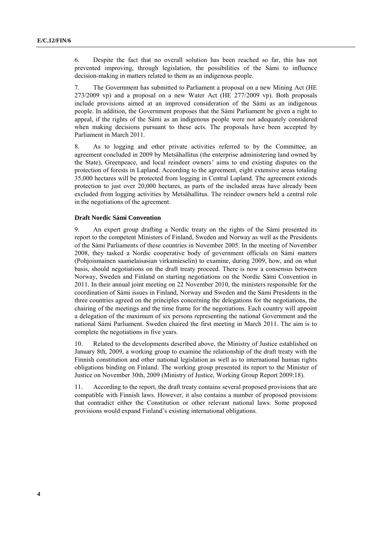6. Despite the fact that no overall solution has been reached so far, this has not prevented improving, through legislation, the possibilities of the Sámi to influence decision-making in matters related to them as an indigenous people.

7. The Government has submitted to Parliament a proposal on a new Mining Act (HE 273/2009 vp) and a proposal on a new Water Act (HE 277/2009 vp). Both proposals include provisions aimed at an improved consideration of the Sámi as an indigenous people. In addition, the Government proposes that the Sámi Parliament be given a right to appeal, if the rights of the Sámi as an indigenous people were not adequately considered when making decisions pursuant to these acts. The proposals have been accepted by Parliament in March 2011.

8. As to logging and other private activities referred to by the Committee, an agreement concluded in 2009 by Metsähallitus (the enterprise administering land owned by the State), Greenpeace, and local reindeer owners' aims to end existing disputes on the protection of forests in Lapland. According to the agreement, eight extensive areas totaling 35,000 hectares will be protected from logging in Central Lapland. The agreement extends protection to just over 20,000 hectares, as parts of the included areas have already been excluded from logging activities by Metsähallitus. The reindeer owners held a central role in the negotiations of the agreement.

#### **Draft Nordic Sámi Convention**

9. An expert group drafting a Nordic treaty on the rights of the Sámi presented its report to the competent Ministers of Finland, Sweden and Norway as well as the Presidents of the Sámi Parliaments of these countries in November 2005. In the meeting of November 2008, they tasked a Nordic cooperative body of government officials on Sámi matters (Pohjoismainen saamelaisasian virkamieselin) to examine, during 2009, how, and on what basis, should negotiations on the draft treaty proceed. There is now a consensus between Norway, Sweden and Finland on starting negotiations on the Nordic Sámi Convention in 2011. In their annual joint meeting on 22 November 2010, the ministers responsible for the coordination of Sámi issues in Finland, Norway and Sweden and the Sámi Presidents in the three countries agreed on the principles concerning the delegations for the negotiations, the chairing of the meetings and the time frame for the negotiations. Each country will appoint a delegation of the maximum of six persons representing the national Government and the national Sámi Parliament. Sweden chaired the first meeting in March 2011. The aim is to complete the negotiations in five years.

10. Related to the developments described above, the Ministry of Justice established on January 8th, 2009, a working group to examine the relationship of the draft treaty with the Finnish constitution and other national legislation as well as to international human rights obligations binding on Finland. The working group presented its report to the Minister of Justice on November 30th, 2009 (Ministry of Justice, Working Group Report 2009:18).

11. According to the report, the draft treaty contains several proposed provisions that are compatible with Finnish laws. However, it also contains a number of proposed provisions that contradict either the Constitution or other relevant national laws. Some proposed provisions would expand Finland's existing international obligations.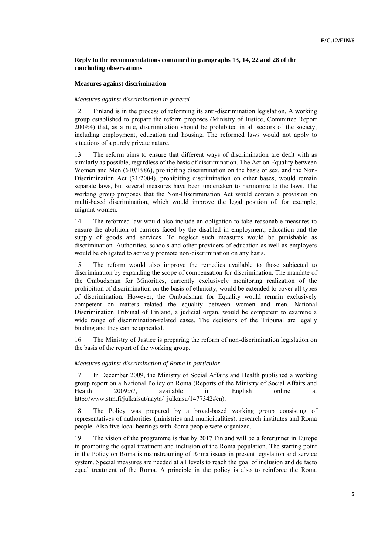# **Reply to the recommendations contained in paragraphs 13, 14, 22 and 28 of the concluding observations**

## **Measures against discrimination**

## *Measures against discrimination in general*

12. Finland is in the process of reforming its anti-discrimination legislation. A working group established to prepare the reform proposes (Ministry of Justice, Committee Report 2009:4) that, as a rule, discrimination should be prohibited in all sectors of the society, including employment, education and housing. The reformed laws would not apply to situations of a purely private nature.

13. The reform aims to ensure that different ways of discrimination are dealt with as similarly as possible, regardless of the basis of discrimination. The Act on Equality between Women and Men (610/1986), prohibiting discrimination on the basis of sex, and the Non-Discrimination Act (21/2004), prohibiting discrimination on other bases, would remain separate laws, but several measures have been undertaken to harmonize to the laws. The working group proposes that the Non-Discrimination Act would contain a provision on multi-based discrimination, which would improve the legal position of, for example, migrant women.

14. The reformed law would also include an obligation to take reasonable measures to ensure the abolition of barriers faced by the disabled in employment, education and the supply of goods and services. To neglect such measures would be punishable as discrimination. Authorities, schools and other providers of education as well as employers would be obligated to actively promote non-discrimination on any basis.

15. The reform would also improve the remedies available to those subjected to discrimination by expanding the scope of compensation for discrimination. The mandate of the Ombudsman for Minorities, currently exclusively monitoring realization of the prohibition of discrimination on the basis of ethnicity, would be extended to cover all types of discrimination. However, the Ombudsman for Equality would remain exclusively competent on matters related the equality between women and men. National Discrimination Tribunal of Finland, a judicial organ, would be competent to examine a wide range of discrimination-related cases. The decisions of the Tribunal are legally binding and they can be appealed.

16. The Ministry of Justice is preparing the reform of non-discrimination legislation on the basis of the report of the working group.

# *Measures against discrimination of Roma in particular*

17. In December 2009, the Ministry of Social Affairs and Health published a working group report on a National Policy on Roma (Reports of the Ministry of Social Affairs and Health 2009:57, available in English online at http://www.stm.fi/julkaisut/nayta/\_julkaisu/1477342#en).

18. The Policy was prepared by a broad-based working group consisting of representatives of authorities (ministries and municipalities), research institutes and Roma people. Also five local hearings with Roma people were organized.

19. The vision of the programme is that by 2017 Finland will be a forerunner in Europe in promoting the equal treatment and inclusion of the Roma population. The starting point in the Policy on Roma is mainstreaming of Roma issues in present legislation and service system. Special measures are needed at all levels to reach the goal of inclusion and de facto equal treatment of the Roma. A principle in the policy is also to reinforce the Roma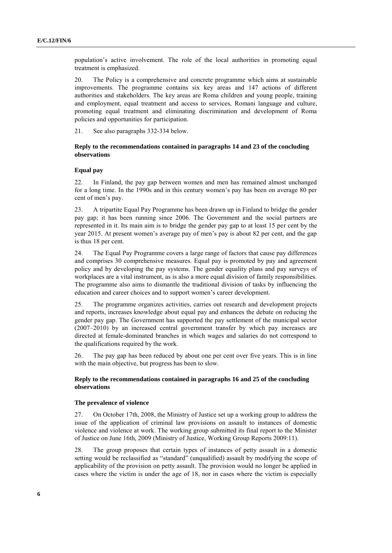population's active involvement. The role of the local authorities in promoting equal treatment is emphasized.

20. The Policy is a comprehensive and concrete programme which aims at sustainable improvements. The programme contains six key areas and 147 actions of different authorities and stakeholders. The key areas are Roma children and young people, training and employment, equal treatment and access to services, Romani language and culture, promoting equal treatment and eliminating discrimination and development of Roma policies and opportunities for participation.

21. See also paragraphs 332-334 below.

# **Reply to the recommendations contained in paragraphs 14 and 23 of the concluding observations**

#### **Equal pay**

22. In Finland, the pay gap between women and men has remained almost unchanged for a long time. In the 1990s and in this century women's pay has been on average 80 per cent of men's pay.

23. A tripartite Equal Pay Programme has been drawn up in Finland to bridge the gender pay gap; it has been running since 2006. The Government and the social partners are represented in it. Its main aim is to bridge the gender pay gap to at least 15 per cent by the year 2015. At present women's average pay of men's pay is about 82 per cent, and the gap is thus 18 per cent.

24. The Equal Pay Programme covers a large range of factors that cause pay differences and comprises 30 comprehensive measures. Equal pay is promoted by pay and agreement policy and by developing the pay systems. The gender equality plans and pay surveys of workplaces are a vital instrument, as is also a more equal division of family responsibilities. The programme also aims to dismantle the traditional division of tasks by influencing the education and career choices and to support women's career development.

25. The programme organizes activities, carries out research and development projects and reports, increases knowledge about equal pay and enhances the debate on reducing the gender pay gap. The Government has supported the pay settlement of the municipal sector (2007–2010) by an increased central government transfer by which pay increases are directed at female-dominated branches in which wages and salaries do not correspond to the qualifications required by the work.

26. The pay gap has been reduced by about one per cent over five years. This is in line with the main objective, but progress has been to slow.

# **Reply to the recommendations contained in paragraphs 16 and 25 of the concluding observations**

#### **The prevalence of violence**

27. On October 17th, 2008, the Ministry of Justice set up a working group to address the issue of the application of criminal law provisions on assault to instances of domestic violence and violence at work. The working group submitted its final report to the Minister of Justice on June 16th, 2009 (Ministry of Justice, Working Group Reports 2009:11).

28. The group proposes that certain types of instances of petty assault in a domestic setting would be reclassified as "standard" (unqualified) assault by modifying the scope of applicability of the provision on petty assault. The provision would no longer be applied in cases where the victim is under the age of 18, nor in cases where the victim is especially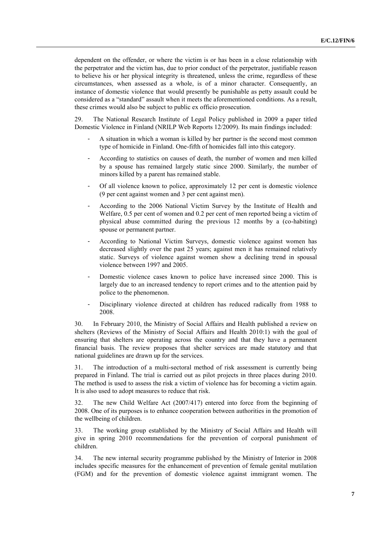dependent on the offender, or where the victim is or has been in a close relationship with the perpetrator and the victim has, due to prior conduct of the perpetrator, justifiable reason to believe his or her physical integrity is threatened, unless the crime, regardless of these circumstances, when assessed as a whole, is of a minor character. Consequently, an instance of domestic violence that would presently be punishable as petty assault could be considered as a "standard" assault when it meets the aforementioned conditions. As a result, these crimes would also be subject to public ex officio prosecution.

29. The National Research Institute of Legal Policy published in 2009 a paper titled Domestic Violence in Finland (NRILP Web Reports 12/2009). Its main findings included:

- A situation in which a woman is killed by her partner is the second most common type of homicide in Finland. One-fifth of homicides fall into this category.
- According to statistics on causes of death, the number of women and men killed by a spouse has remained largely static since 2000. Similarly, the number of minors killed by a parent has remained stable.
- Of all violence known to police, approximately 12 per cent is domestic violence (9 per cent against women and 3 per cent against men).
- According to the 2006 National Victim Survey by the Institute of Health and Welfare, 0.5 per cent of women and 0.2 per cent of men reported being a victim of physical abuse committed during the previous 12 months by a (co-habiting) spouse or permanent partner.
- According to National Victim Surveys, domestic violence against women has decreased slightly over the past 25 years; against men it has remained relatively static. Surveys of violence against women show a declining trend in spousal violence between 1997 and 2005.
- Domestic violence cases known to police have increased since 2000. This is largely due to an increased tendency to report crimes and to the attention paid by police to the phenomenon.
- Disciplinary violence directed at children has reduced radically from 1988 to 2008.

30. In February 2010, the Ministry of Social Affairs and Health published a review on shelters (Reviews of the Ministry of Social Affairs and Health 2010:1) with the goal of ensuring that shelters are operating across the country and that they have a permanent financial basis. The review proposes that shelter services are made statutory and that national guidelines are drawn up for the services.

31. The introduction of a multi-sectoral method of risk assessment is currently being prepared in Finland. The trial is carried out as pilot projects in three places during 2010. The method is used to assess the risk a victim of violence has for becoming a victim again. It is also used to adopt measures to reduce that risk.

32. The new Child Welfare Act (2007/417) entered into force from the beginning of 2008. One of its purposes is to enhance cooperation between authorities in the promotion of the wellbeing of children.

33. The working group established by the Ministry of Social Affairs and Health will give in spring 2010 recommendations for the prevention of corporal punishment of children.

34. The new internal security programme published by the Ministry of Interior in 2008 includes specific measures for the enhancement of prevention of female genital mutilation (FGM) and for the prevention of domestic violence against immigrant women. The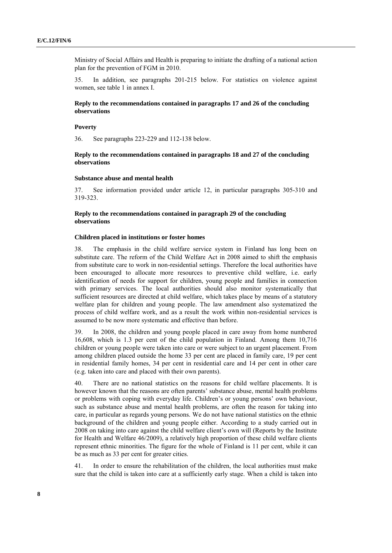Ministry of Social Affairs and Health is preparing to initiate the drafting of a national action plan for the prevention of FGM in 2010.

35. In addition, see paragraphs 201-215 below. For statistics on violence against women, see table 1 in annex I.

# **Reply to the recommendations contained in paragraphs 17 and 26 of the concluding observations**

#### **Poverty**

36. See paragraphs 223-229 and 112-138 below.

## **Reply to the recommendations contained in paragraphs 18 and 27 of the concluding observations**

#### **Substance abuse and mental health**

37. See information provided under article 12, in particular paragraphs 305-310 and 319-323.

# **Reply to the recommendations contained in paragraph 29 of the concluding observations**

#### **Children placed in institutions or foster homes**

38. The emphasis in the child welfare service system in Finland has long been on substitute care. The reform of the Child Welfare Act in 2008 aimed to shift the emphasis from substitute care to work in non-residential settings. Therefore the local authorities have been encouraged to allocate more resources to preventive child welfare, i.e. early identification of needs for support for children, young people and families in connection with primary services. The local authorities should also monitor systematically that sufficient resources are directed at child welfare, which takes place by means of a statutory welfare plan for children and young people. The law amendment also systematized the process of child welfare work, and as a result the work within non-residential services is assumed to be now more systematic and effective than before.

39. In 2008, the children and young people placed in care away from home numbered 16,608, which is 1.3 per cent of the child population in Finland. Among them 10,716 children or young people were taken into care or were subject to an urgent placement. From among children placed outside the home 33 per cent are placed in family care, 19 per cent in residential family homes, 34 per cent in residential care and 14 per cent in other care (e.g. taken into care and placed with their own parents).

40. There are no national statistics on the reasons for child welfare placements. It is however known that the reasons are often parents' substance abuse, mental health problems or problems with coping with everyday life. Children's or young persons' own behaviour, such as substance abuse and mental health problems, are often the reason for taking into care, in particular as regards young persons. We do not have national statistics on the ethnic background of the children and young people either. According to a study carried out in 2008 on taking into care against the child welfare client's own will (Reports by the Institute for Health and Welfare 46/2009), a relatively high proportion of these child welfare clients represent ethnic minorities. The figure for the whole of Finland is 11 per cent, while it can be as much as 33 per cent for greater cities.

41. In order to ensure the rehabilitation of the children, the local authorities must make sure that the child is taken into care at a sufficiently early stage. When a child is taken into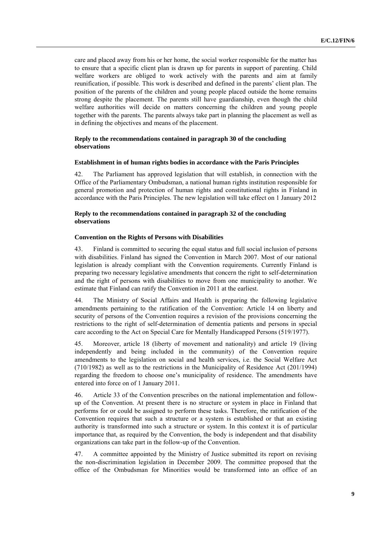care and placed away from his or her home, the social worker responsible for the matter has to ensure that a specific client plan is drawn up for parents in support of parenting. Child welfare workers are obliged to work actively with the parents and aim at family reunification, if possible. This work is described and defined in the parents' client plan. The position of the parents of the children and young people placed outside the home remains strong despite the placement. The parents still have guardianship, even though the child welfare authorities will decide on matters concerning the children and young people together with the parents. The parents always take part in planning the placement as well as in defining the objectives and means of the placement.

# **Reply to the recommendations contained in paragraph 30 of the concluding observations**

## **Establishment in of human rights bodies in accordance with the Paris Principles**

42. The Parliament has approved legislation that will establish, in connection with the Office of the Parliamentary Ombudsman, a national human rights institution responsible for general promotion and protection of human rights and constitutional rights in Finland in accordance with the Paris Principles. The new legislation will take effect on 1 January 2012

# **Reply to the recommendations contained in paragraph 32 of the concluding observations**

#### **Convention on the Rights of Persons with Disabilities**

43. Finland is committed to securing the equal status and full social inclusion of persons with disabilities. Finland has signed the Convention in March 2007. Most of our national legislation is already compliant with the Convention requirements. Currently Finland is preparing two necessary legislative amendments that concern the right to self-determination and the right of persons with disabilities to move from one municipality to another. We estimate that Finland can ratify the Convention in 2011 at the earliest.

44. The Ministry of Social Affairs and Health is preparing the following legislative amendments pertaining to the ratification of the Convention: Article 14 on liberty and security of persons of the Convention requires a revision of the provisions concerning the restrictions to the right of self-determination of dementia patients and persons in special care according to the Act on Special Care for Mentally Handicapped Persons (519/1977).

45. Moreover, article 18 (liberty of movement and nationality) and article 19 (living independently and being included in the community) of the Convention require amendments to the legislation on social and health services, i.e. the Social Welfare Act (710/1982) as well as to the restrictions in the Municipality of Residence Act (201/1994) regarding the freedom to choose one's municipality of residence. The amendments have entered into force on of 1 January 2011.

46. Article 33 of the Convention prescribes on the national implementation and followup of the Convention. At present there is no structure or system in place in Finland that performs for or could be assigned to perform these tasks. Therefore, the ratification of the Convention requires that such a structure or a system is established or that an existing authority is transformed into such a structure or system. In this context it is of particular importance that, as required by the Convention, the body is independent and that disability organizations can take part in the follow-up of the Convention.

47. A committee appointed by the Ministry of Justice submitted its report on revising the non-discrimination legislation in December 2009. The committee proposed that the office of the Ombudsman for Minorities would be transformed into an office of an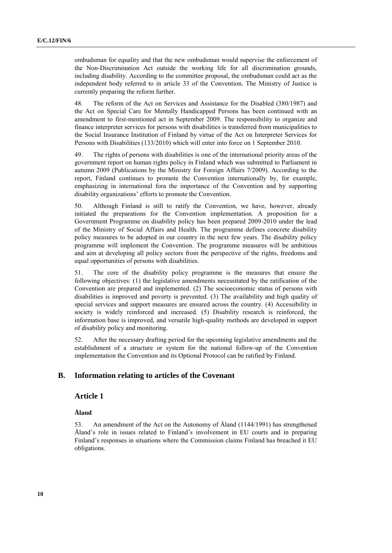ombudsman for equality and that the new ombudsman would supervise the enforcement of the Non-Discrimination Act outside the working life for all discrimination grounds, including disability. According to the committee proposal, the ombudsman could act as the independent body referred to in article 33 of the Convention. The Ministry of Justice is currently preparing the reform further.

48. The reform of the Act on Services and Assistance for the Disabled (380/1987) and the Act on Special Care for Mentally Handicapped Persons has been continued with an amendment to first-mentioned act in September 2009. The responsibility to organize and finance interpreter services for persons with disabilities is transferred from municipalities to the Social Insurance Institution of Finland by virtue of the Act on Interpreter Services for Persons with Disabilities (133/2010) which will enter into force on 1 September 2010.

49. The rights of persons with disabilities is one of the international priority areas of the government report on human rights policy in Finland which was submitted to Parliament in autumn 2009 (Publications by the Ministry for Foreign Affairs 7/2009). According to the report, Finland continues to promote the Convention internationally by, for example, emphasizing in international fora the importance of the Convention and by supporting disability organizations' efforts to promote the Convention.

50. Although Finland is still to ratify the Convention, we have, however, already initiated the preparations for the Convention implementation. A proposition for a Government Programme on disability policy has been prepared 2009-2010 under the lead of the Ministry of Social Affairs and Health. The programme defines concrete disability policy measures to be adopted in our country in the next few years. The disability policy programme will implement the Convention. The programme measures will be ambitious and aim at developing all policy sectors from the perspective of the rights, freedoms and equal opportunities of persons with disabilities.

51. The core of the disability policy programme is the measures that ensure the following objectives: (1) the legislative amendments necessitated by the ratification of the Convention are prepared and implemented. (2) The socioeconomic status of persons with disabilities is improved and poverty is prevented. (3) The availability and high quality of special services and support measures are ensured across the country. (4) Accessibility in society is widely reinforced and increased. (5) Disability research is reinforced, the information base is improved, and versatile high-quality methods are developed in support of disability policy and monitoring.

52. After the necessary drafting period for the upcoming legislative amendments and the establishment of a structure or system for the national follow-up of the Convention implementation the Convention and its Optional Protocol can be ratified by Finland.

# **B. Information relating to articles of the Covenant**

# **Article 1**

## **Åland**

53. An amendment of the Act on the Autonomy of Åland (1144/1991) has strengthened Åland's role in issues related to Finland's involvement in EU courts and in preparing Finland's responses in situations where the Commission claims Finland has breached it EU obligations.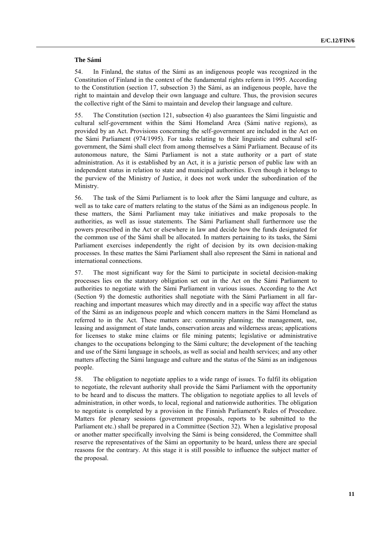#### **The Sámi**

54. In Finland, the status of the Sámi as an indigenous people was recognized in the Constitution of Finland in the context of the fundamental rights reform in 1995. According to the Constitution (section 17, subsection 3) the Sámi, as an indigenous people, have the right to maintain and develop their own language and culture. Thus, the provision secures the collective right of the Sámi to maintain and develop their language and culture.

55. The Constitution (section 121, subsection 4) also guarantees the Sámi linguistic and cultural self-government within the Sámi Homeland Area (Sámi native regions), as provided by an Act. Provisions concerning the self-government are included in the Act on the Sámi Parliament (974/1995). For tasks relating to their linguistic and cultural selfgovernment, the Sámi shall elect from among themselves a Sámi Parliament. Because of its autonomous nature, the Sámi Parliament is not a state authority or a part of state administration. As it is established by an Act, it is a juristic person of public law with an independent status in relation to state and municipal authorities. Even though it belongs to the purview of the Ministry of Justice, it does not work under the subordination of the Ministry.

56. The task of the Sámi Parliament is to look after the Sámi language and culture, as well as to take care of matters relating to the status of the Sámi as an indigenous people. In these matters, the Sámi Parliament may take initiatives and make proposals to the authorities, as well as issue statements. The Sámi Parliament shall furthermore use the powers prescribed in the Act or elsewhere in law and decide how the funds designated for the common use of the Sámi shall be allocated. In matters pertaining to its tasks, the Sámi Parliament exercises independently the right of decision by its own decision-making processes. In these mattes the Sámi Parliament shall also represent the Sámi in national and international connections.

57. The most significant way for the Sámi to participate in societal decision-making processes lies on the statutory obligation set out in the Act on the Sámi Parliament to authorities to negotiate with the Sámi Parliament in various issues. According to the Act (Section 9) the domestic authorities shall negotiate with the Sámi Parliament in all farreaching and important measures which may directly and in a specific way affect the status of the Sámi as an indigenous people and which concern matters in the Sámi Homeland as referred to in the Act. These matters are: community planning; the management, use, leasing and assignment of state lands, conservation areas and wilderness areas; applications for licenses to stake mine claims or file mining patents; legislative or administrative changes to the occupations belonging to the Sámi culture; the development of the teaching and use of the Sámi language in schools, as well as social and health services; and any other matters affecting the Sámi language and culture and the status of the Sámi as an indigenous people.

58. The obligation to negotiate applies to a wide range of issues. To fulfil its obligation to negotiate, the relevant authority shall provide the Sámi Parliament with the opportunity to be heard and to discuss the matters. The obligation to negotiate applies to all levels of administration, in other words, to local, regional and nationwide authorities. The obligation to negotiate is completed by a provision in the Finnish Parliament's Rules of Procedure. Matters for plenary sessions (government proposals, reports to be submitted to the Parliament etc.) shall be prepared in a Committee (Section 32). When a legislative proposal or another matter specifically involving the Sámi is being considered, the Committee shall reserve the representatives of the Sámi an opportunity to be heard, unless there are special reasons for the contrary. At this stage it is still possible to influence the subject matter of the proposal.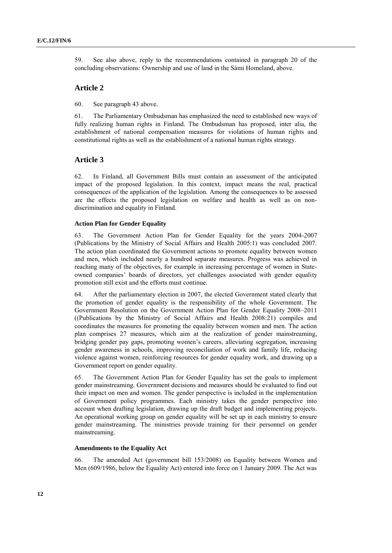59. See also above, reply to the recommendations contained in paragraph 20 of the concluding observations: Ownership and use of land in the Sámi Homeland, above.

# **Article 2**

60. See paragraph 43 above.

61. The Parliamentary Ombudsman has emphasized the need to established new ways of fully realizing human rights in Finland. The Ombudsman has proposed, inter alia, the establishment of national compensation measures for violations of human rights and constitutional rights as well as the establishment of a national human rights strategy.

# **Article 3**

62. In Finland, all Government Bills must contain an assessment of the anticipated impact of the proposed legislation. In this context, impact means the real, practical consequences of the application of the legislation. Among the consequences to be assessed are the effects the proposed legislation on welfare and health as well as on nondiscrimination and equality in Finland.

#### **Action Plan for Gender Equality**

63. The Government Action Plan for Gender Equality for the years 2004-2007 (Publications by the Ministry of Social Affairs and Health 2005:1) was concluded 2007. The action plan coordinated the Government actions to promote equality between women and men, which included nearly a hundred separate measures. Progress was achieved in reaching many of the objectives, for example in increasing percentage of women in Stateowned companies' boards of directors, yet challenges associated with gender equality promotion still exist and the efforts must continue.

64. After the parliamentary election in 2007, the elected Government stated clearly that the promotion of gender equality is the responsibility of the whole Government. The Government Resolution on the Government Action Plan for Gender Equality 2008–2011 ((Publications by the Ministry of Social Affairs and Health 2008:21) compiles and coordinates the measures for promoting the equality between women and men. The action plan comprises 27 measures, which aim at the realization of gender mainstreaming, bridging gender pay gaps, promoting women's careers, alleviating segregation, increasing gender awareness in schools, improving reconciliation of work and family life, reducing violence against women, reinforcing resources for gender equality work, and drawing up a Government report on gender equality.

65. The Government Action Plan for Gender Equality has set the goals to implement gender mainstreaming. Government decisions and measures should be evaluated to find out their impact on men and women. The gender perspective is included in the implementation of Government policy programmes. Each ministry takes the gender perspective into account when drafting legislation, drawing up the draft budget and implementing projects. An operational working group on gender equality will be set up in each ministry to ensure gender mainstreaming. The ministries provide training for their personnel on gender mainstreaming.

# **Amendments to the Equality Act**

66. The amended Act (government bill 153/2008) on Equality between Women and Men (609/1986, below the Equality Act) entered into force on 1 January 2009. The Act was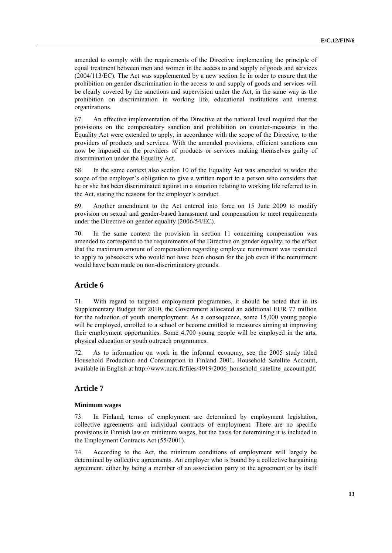amended to comply with the requirements of the Directive implementing the principle of equal treatment between men and women in the access to and supply of goods and services (2004/113/EC). The Act was supplemented by a new section 8e in order to ensure that the prohibition on gender discrimination in the access to and supply of goods and services will be clearly covered by the sanctions and supervision under the Act, in the same way as the prohibition on discrimination in working life, educational institutions and interest organizations.

67. An effective implementation of the Directive at the national level required that the provisions on the compensatory sanction and prohibition on counter-measures in the Equality Act were extended to apply, in accordance with the scope of the Directive, to the providers of products and services. With the amended provisions, efficient sanctions can now be imposed on the providers of products or services making themselves guilty of discrimination under the Equality Act.

68. In the same context also section 10 of the Equality Act was amended to widen the scope of the employer's obligation to give a written report to a person who considers that he or she has been discriminated against in a situation relating to working life referred to in the Act, stating the reasons for the employer's conduct.

69. Another amendment to the Act entered into force on 15 June 2009 to modify provision on sexual and gender-based harassment and compensation to meet requirements under the Directive on gender equality (2006/54/EC).

70. In the same context the provision in section 11 concerning compensation was amended to correspond to the requirements of the Directive on gender equality, to the effect that the maximum amount of compensation regarding employee recruitment was restricted to apply to jobseekers who would not have been chosen for the job even if the recruitment would have been made on non-discriminatory grounds.

# **Article 6**

71. With regard to targeted employment programmes, it should be noted that in its Supplementary Budget for 2010, the Government allocated an additional EUR 77 million for the reduction of youth unemployment. As a consequence, some 15,000 young people will be employed, enrolled to a school or become entitled to measures aiming at improving their employment opportunities. Some 4,700 young people will be employed in the arts, physical education or youth outreach programmes.

72. As to information on work in the informal economy, see the 2005 study titled Household Production and Consumption in Finland 2001. Household Satellite Account, available in English at http://www.ncrc.fi/files/4919/2006\_household\_satellite\_account.pdf.

# **Article 7**

#### **Minimum wages**

73. In Finland, terms of employment are determined by employment legislation, collective agreements and individual contracts of employment. There are no specific provisions in Finnish law on minimum wages, but the basis for determining it is included in the Employment Contracts Act (55/2001).

74. According to the Act, the minimum conditions of employment will largely be determined by collective agreements. An employer who is bound by a collective bargaining agreement, either by being a member of an association party to the agreement or by itself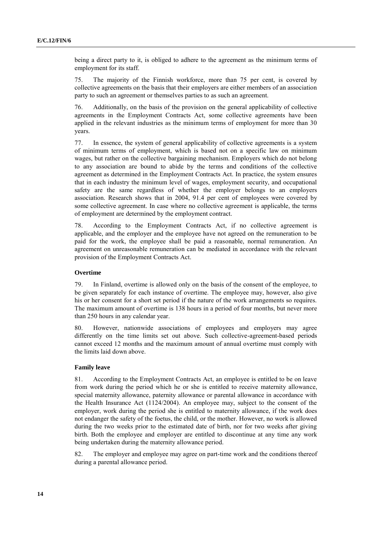being a direct party to it, is obliged to adhere to the agreement as the minimum terms of employment for its staff.

75. The majority of the Finnish workforce, more than 75 per cent, is covered by collective agreements on the basis that their employers are either members of an association party to such an agreement or themselves parties to as such an agreement.

76. Additionally, on the basis of the provision on the general applicability of collective agreements in the Employment Contracts Act, some collective agreements have been applied in the relevant industries as the minimum terms of employment for more than 30 years.

77. In essence, the system of general applicability of collective agreements is a system of minimum terms of employment, which is based not on a specific law on minimum wages, but rather on the collective bargaining mechanism. Employers which do not belong to any association are bound to abide by the terms and conditions of the collective agreement as determined in the Employment Contracts Act. In practice, the system ensures that in each industry the minimum level of wages, employment security, and occupational safety are the same regardless of whether the employer belongs to an employers association. Research shows that in 2004, 91.4 per cent of employees were covered by some collective agreement. In case where no collective agreement is applicable, the terms of employment are determined by the employment contract.

78. According to the Employment Contracts Act, if no collective agreement is applicable, and the employer and the employee have not agreed on the remuneration to be paid for the work, the employee shall be paid a reasonable, normal remuneration. An agreement on unreasonable remuneration can be mediated in accordance with the relevant provision of the Employment Contracts Act.

# **Overtime**

79. In Finland, overtime is allowed only on the basis of the consent of the employee, to be given separately for each instance of overtime. The employee may, however, also give his or her consent for a short set period if the nature of the work arrangements so requires. The maximum amount of overtime is 138 hours in a period of four months, but never more than 250 hours in any calendar year.

80. However, nationwide associations of employees and employers may agree differently on the time limits set out above. Such collective-agreement-based periods cannot exceed 12 months and the maximum amount of annual overtime must comply with the limits laid down above.

#### **Family leave**

81. According to the Employment Contracts Act, an employee is entitled to be on leave from work during the period which he or she is entitled to receive maternity allowance, special maternity allowance, paternity allowance or parental allowance in accordance with the Health Insurance Act (1124/2004). An employee may, subject to the consent of the employer, work during the period she is entitled to maternity allowance, if the work does not endanger the safety of the foetus, the child, or the mother. However, no work is allowed during the two weeks prior to the estimated date of birth, nor for two weeks after giving birth. Both the employee and employer are entitled to discontinue at any time any work being undertaken during the maternity allowance period.

82. The employer and employee may agree on part-time work and the conditions thereof during a parental allowance period.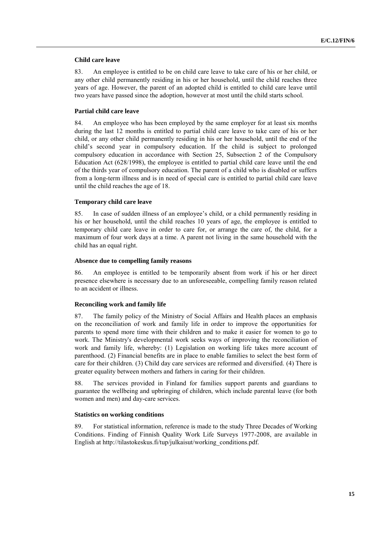#### **Child care leave**

83. An employee is entitled to be on child care leave to take care of his or her child, or any other child permanently residing in his or her household, until the child reaches three years of age. However, the parent of an adopted child is entitled to child care leave until two years have passed since the adoption, however at most until the child starts school.

# **Partial child care leave**

84. An employee who has been employed by the same employer for at least six months during the last 12 months is entitled to partial child care leave to take care of his or her child, or any other child permanently residing in his or her household, until the end of the child's second year in compulsory education. If the child is subject to prolonged compulsory education in accordance with Section 25, Subsection 2 of the Compulsory Education Act (628/1998), the employee is entitled to partial child care leave until the end of the thirds year of compulsory education. The parent of a child who is disabled or suffers from a long-term illness and is in need of special care is entitled to partial child care leave until the child reaches the age of 18.

#### **Temporary child care leave**

85. In case of sudden illness of an employee's child, or a child permanently residing in his or her household, until the child reaches 10 years of age, the employee is entitled to temporary child care leave in order to care for, or arrange the care of, the child, for a maximum of four work days at a time. A parent not living in the same household with the child has an equal right.

#### **Absence due to compelling family reasons**

86. An employee is entitled to be temporarily absent from work if his or her direct presence elsewhere is necessary due to an unforeseeable, compelling family reason related to an accident or illness.

#### **Reconciling work and family life**

87. The family policy of the Ministry of Social Affairs and Health places an emphasis on the reconciliation of work and family life in order to improve the opportunities for parents to spend more time with their children and to make it easier for women to go to work. The Ministry's developmental work seeks ways of improving the reconciliation of work and family life, whereby: (1) Legislation on working life takes more account of parenthood. (2) Financial benefits are in place to enable families to select the best form of care for their children. (3) Child day care services are reformed and diversified. (4) There is greater equality between mothers and fathers in caring for their children.

88. The services provided in Finland for families support parents and guardians to guarantee the wellbeing and upbringing of children, which include parental leave (for both women and men) and day-care services.

#### **Statistics on working conditions**

89. For statistical information, reference is made to the study Three Decades of Working Conditions. Finding of Finnish Quality Work Life Surveys 1977-2008, are available in English at http://tilastokeskus.fi/tup/julkaisut/working\_conditions.pdf.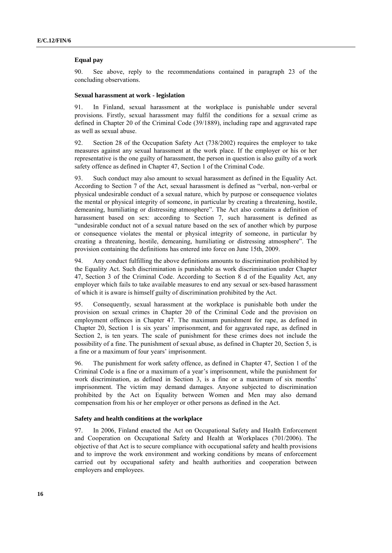## **Equal pay**

90. See above, reply to the recommendations contained in paragraph 23 of the concluding observations.

#### **Sexual harassment at work - legislation**

91. In Finland, sexual harassment at the workplace is punishable under several provisions. Firstly, sexual harassment may fulfil the conditions for a sexual crime as defined in Chapter 20 of the Criminal Code (39/1889), including rape and aggravated rape as well as sexual abuse.

92. Section 28 of the Occupation Safety Act (738/2002) requires the employer to take measures against any sexual harassment at the work place. If the employer or his or her representative is the one guilty of harassment, the person in question is also guilty of a work safety offence as defined in Chapter 47, Section 1 of the Criminal Code.

93. Such conduct may also amount to sexual harassment as defined in the Equality Act. According to Section 7 of the Act, sexual harassment is defined as "verbal, non-verbal or physical undesirable conduct of a sexual nature, which by purpose or consequence violates the mental or physical integrity of someone, in particular by creating a threatening, hostile, demeaning, humiliating or distressing atmosphere". The Act also contains a definition of harassment based on sex: according to Section 7, such harassment is defined as "undesirable conduct not of a sexual nature based on the sex of another which by purpose or consequence violates the mental or physical integrity of someone, in particular by creating a threatening, hostile, demeaning, humiliating or distressing atmosphere". The provision containing the definitions has entered into force on June 15th, 2009.

94. Any conduct fulfilling the above definitions amounts to discrimination prohibited by the Equality Act. Such discrimination is punishable as work discrimination under Chapter 47, Section 3 of the Criminal Code. According to Section 8 d of the Equality Act, any employer which fails to take available measures to end any sexual or sex-based harassment of which it is aware is himself guilty of discrimination prohibited by the Act.

95. Consequently, sexual harassment at the workplace is punishable both under the provision on sexual crimes in Chapter 20 of the Criminal Code and the provision on employment offences in Chapter 47. The maximum punishment for rape, as defined in Chapter 20, Section 1 is six years' imprisonment, and for aggravated rape, as defined in Section 2, is ten years. The scale of punishment for these crimes does not include the possibility of a fine. The punishment of sexual abuse, as defined in Chapter 20, Section 5, is a fine or a maximum of four years' imprisonment.

96. The punishment for work safety offence, as defined in Chapter 47, Section 1 of the Criminal Code is a fine or a maximum of a year's imprisonment, while the punishment for work discrimination, as defined in Section 3, is a fine or a maximum of six months' imprisonment. The victim may demand damages. Anyone subjected to discrimination prohibited by the Act on Equality between Women and Men may also demand compensation from his or her employer or other persons as defined in the Act.

#### **Safety and health conditions at the workplace**

97. In 2006, Finland enacted the Act on Occupational Safety and Health Enforcement and Cooperation on Occupational Safety and Health at Workplaces (701/2006). The objective of that Act is to secure compliance with occupational safety and health provisions and to improve the work environment and working conditions by means of enforcement carried out by occupational safety and health authorities and cooperation between employers and employees.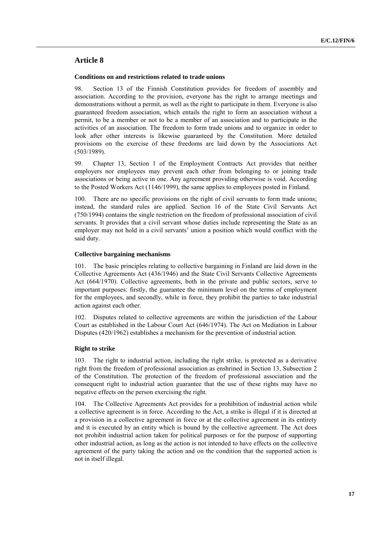# **Article 8**

## **Conditions on and restrictions related to trade unions**

98. Section 13 of the Finnish Constitution provides for freedom of assembly and association. According to the provision, everyone has the right to arrange meetings and demonstrations without a permit, as well as the right to participate in them. Everyone is also guaranteed freedom association, which entails the right to form an association without a permit, to be a member or not to be a member of an association and to participate in the activities of an association. The freedom to form trade unions and to organize in order to look after other interests is likewise guaranteed by the Constitution. More detailed provisions on the exercise of these freedoms are laid down by the Associations Act (503/1989).

99. Chapter 13, Section 1 of the Employment Contracts Act provides that neither employers nor employees may prevent each other from belonging to or joining trade associations or being active in one. Any agreement providing otherwise is void. According to the Posted Workers Act (1146/1999), the same applies to employees posted in Finland.

100. There are no specific provisions on the right of civil servants to form trade unions; instead, the standard rules are applied. Section 16 of the State Civil Servants Act (750/1994) contains the single restriction on the freedom of professional association of civil servants. It provides that a civil servant whose duties include representing the State as an employer may not hold in a civil servants' union a position which would conflict with the said duty.

# **Collective bargaining mechanisms**

101. The basic principles relating to collective bargaining in Finland are laid down in the Collective Agreements Act (436/1946) and the State Civil Servants Collective Agreements Act (664/1970). Collective agreements, both in the private and public sectors, serve to important purposes: firstly, the guarantee the minimum level on the terms of employment for the employees, and secondly, while in force, they prohibit the parties to take industrial action against each other.

102. Disputes related to collective agreements are within the jurisdiction of the Labour Court as established in the Labour Court Act (646/1974). The Act on Mediation in Labour Disputes (420/1962) establishes a mechanism for the prevention of industrial action.

# **Right to strike**

103. The right to industrial action, including the right strike, is protected as a derivative right from the freedom of professional association as enshrined in Section 13, Subsection 2 of the Constitution. The protection of the freedom of professional association and the consequent right to industrial action guarantee that the use of these rights may have no negative effects on the person exercising the right.

104. The Collective Agreements Act provides for a prohibition of industrial action while a collective agreement is in force. According to the Act, a strike is illegal if it is directed at a provision in a collective agreement in force or at the collective agreement in its entirety and it is executed by an entity which is bound by the collective agreement. The Act does not prohibit industrial action taken for political purposes or for the purpose of supporting other industrial action, as long as the action is not intended to have effects on the collective agreement of the party taking the action and on the condition that the supported action is not in itself illegal.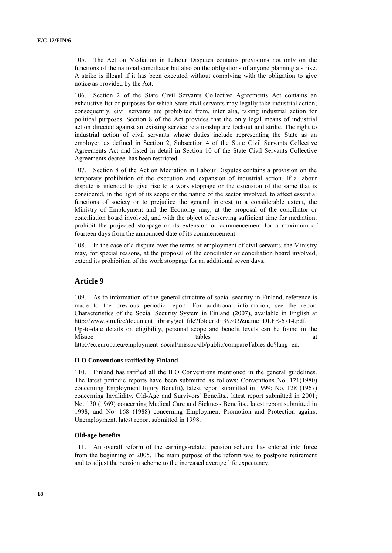105. The Act on Mediation in Labour Disputes contains provisions not only on the functions of the national conciliator but also on the obligations of anyone planning a strike. A strike is illegal if it has been executed without complying with the obligation to give notice as provided by the Act.

106. Section 2 of the State Civil Servants Collective Agreements Act contains an exhaustive list of purposes for which State civil servants may legally take industrial action; consequently, civil servants are prohibited from, inter alia, taking industrial action for political purposes. Section 8 of the Act provides that the only legal means of industrial action directed against an existing service relationship are lockout and strike. The right to industrial action of civil servants whose duties include representing the State as an employer, as defined in Section 2, Subsection 4 of the State Civil Servants Collective Agreements Act and listed in detail in Section 10 of the State Civil Servants Collective Agreements decree, has been restricted.

107. Section 8 of the Act on Mediation in Labour Disputes contains a provision on the temporary prohibition of the execution and expansion of industrial action. If a labour dispute is intended to give rise to a work stoppage or the extension of the same that is considered, in the light of its scope or the nature of the sector involved, to affect essential functions of society or to prejudice the general interest to a considerable extent, the Ministry of Employment and the Economy may, at the proposal of the conciliator or conciliation board involved, and with the object of reserving sufficient time for mediation, prohibit the projected stoppage or its extension or commencement for a maximum of fourteen days from the announced date of its commencement.

108. In the case of a dispute over the terms of employment of civil servants, the Ministry may, for special reasons, at the proposal of the conciliator or conciliation board involved, extend its prohibition of the work stoppage for an additional seven days.

# **Article 9**

109. As to information of the general structure of social security in Finland, reference is made to the previous periodic report. For additional information, see the report Characteristics of the Social Security System in Finland (2007), available in English at http://www.stm.fi/c/document\_library/get\_file?folderId=39503&name=DLFE-6714.pdf. Up-to-date details on eligibility, personal scope and benefit levels can be found in the Missoc and tables at tables and tables at tables at tables at tables at tables at tables at tables at tables at tables at tables at  $\alpha$ http://ec.europa.eu/employment\_social/missoc/db/public/compareTables.do?lang=en.

#### **ILO Conventions ratified by Finland**

110. Finland has ratified all the ILO Conventions mentioned in the general guidelines. The latest periodic reports have been submitted as follows: Conventions No. 121(1980) concerning Employment Injury Benefit), latest report submitted in 1999; No. 128 (1967) concerning Invalidity, Old-Age and Survivors' Benefits,, latest report submitted in 2001; No. 130 (1969) concerning Medical Care and Sickness Benefits,, latest report submitted in 1998; and No. 168 (1988) concerning Employment Promotion and Protection against Unemployment, latest report submitted in 1998.

# **Old-age benefits**

111. An overall reform of the earnings-related pension scheme has entered into force from the beginning of 2005. The main purpose of the reform was to postpone retirement and to adjust the pension scheme to the increased average life expectancy.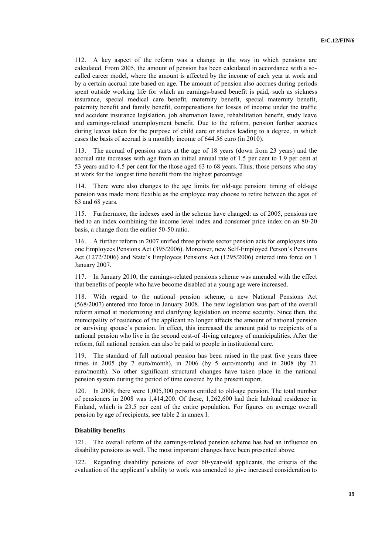112. A key aspect of the reform was a change in the way in which pensions are calculated. From 2005, the amount of pension has been calculated in accordance with a socalled career model, where the amount is affected by the income of each year at work and by a certain accrual rate based on age. The amount of pension also accrues during periods spent outside working life for which an earnings-based benefit is paid, such as sickness insurance, special medical care benefit, maternity benefit, special maternity benefit, paternity benefit and family benefit, compensations for losses of income under the traffic and accident insurance legislation, job alternation leave, rehabilitation benefit, study leave and earnings-related unemployment benefit. Due to the reform, pension further accrues during leaves taken for the purpose of child care or studies leading to a degree, in which cases the basis of accrual is a monthly income of 644.56 euro (in 2010).

113. The accrual of pension starts at the age of 18 years (down from 23 years) and the accrual rate increases with age from an initial annual rate of 1.5 per cent to 1.9 per cent at 53 years and to 4.5 per cent for the those aged 63 to 68 years. Thus, those persons who stay at work for the longest time benefit from the highest percentage.

There were also changes to the age limits for old-age pension: timing of old-age pension was made more flexible as the employee may choose to retire between the ages of 63 and 68 years.

115. Furthermore, the indexes used in the scheme have changed: as of 2005, pensions are tied to an index combining the income level index and consumer price index on an 80-20 basis, a change from the earlier 50-50 ratio.

116. A further reform in 2007 unified three private sector pension acts for employees into one Employees Pensions Act (395/2006). Moreover, new Self-Employed Person's Pensions Act (1272/2006) and State's Employees Pensions Act (1295/2006) entered into force on 1 January 2007.

117. In January 2010, the earnings-related pensions scheme was amended with the effect that benefits of people who have become disabled at a young age were increased.

118. With regard to the national pension scheme, a new National Pensions Act (568/2007) entered into force in January 2008. The new legislation was part of the overall reform aimed at modernizing and clarifying legislation on income security. Since then, the municipality of residence of the applicant no longer affects the amount of national pension or surviving spouse's pension. In effect, this increased the amount paid to recipients of a national pension who live in the second cost-of -living category of municipalities. After the reform, full national pension can also be paid to people in institutional care.

119. The standard of full national pension has been raised in the past five years three times in 2005 (by 7 euro/month), in 2006 (by 5 euro/month) and in 2008 (by 21 euro/month). No other significant structural changes have taken place in the national pension system during the period of time covered by the present report.

120. In 2008, there were 1,005,300 persons entitled to old-age pension. The total number of pensioners in 2008 was 1,414,200. Of these, 1,262,600 had their habitual residence in Finland, which is 23.5 per cent of the entire population. For figures on average overall pension by age of recipients, see table 2 in annex I.

#### **Disability benefits**

121. The overall reform of the earnings-related pension scheme has had an influence on disability pensions as well. The most important changes have been presented above.

122. Regarding disability pensions of over 60-year-old applicants, the criteria of the evaluation of the applicant's ability to work was amended to give increased consideration to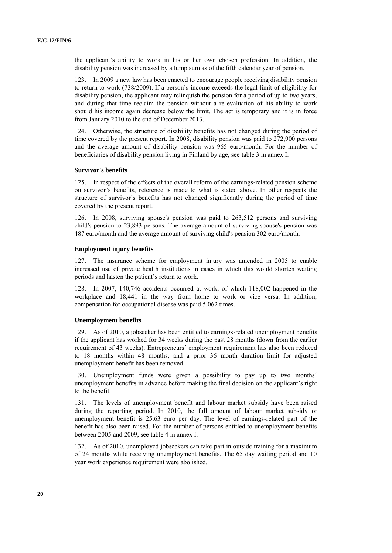the applicant's ability to work in his or her own chosen profession. In addition, the disability pension was increased by a lump sum as of the fifth calendar year of pension.

123. In 2009 a new law has been enacted to encourage people receiving disability pension to return to work (738/2009). If a person's income exceeds the legal limit of eligibility for disability pension, the applicant may relinquish the pension for a period of up to two years, and during that time reclaim the pension without a re-evaluation of his ability to work should his income again decrease below the limit. The act is temporary and it is in force from January 2010 to the end of December 2013.

124. Otherwise, the structure of disability benefits has not changed during the period of time covered by the present report. In 2008, disability pension was paid to 272,900 persons and the average amount of disability pension was 965 euro/month. For the number of beneficiaries of disability pension living in Finland by age, see table 3 in annex I.

## **Survivor's benefits**

125. In respect of the effects of the overall reform of the earnings-related pension scheme on survivor's benefits, reference is made to what is stated above. In other respects the structure of survivor's benefits has not changed significantly during the period of time covered by the present report.

126. In 2008, surviving spouse's pension was paid to 263,512 persons and surviving child's pension to 23,893 persons. The average amount of surviving spouse's pension was 487 euro/month and the average amount of surviving child's pension 302 euro/month.

# **Employment injury benefits**

127. The insurance scheme for employment injury was amended in 2005 to enable increased use of private health institutions in cases in which this would shorten waiting periods and hasten the patient's return to work.

128. In 2007, 140,746 accidents occurred at work, of which 118,002 happened in the workplace and 18,441 in the way from home to work or vice versa. In addition, compensation for occupational disease was paid 5,062 times.

## **Unemployment benefits**

129. As of 2010, a jobseeker has been entitled to earnings-related unemployment benefits if the applicant has worked for 34 weeks during the past 28 months (down from the earlier requirement of 43 weeks). Entrepreneurs´ employment requirement has also been reduced to 18 months within 48 months, and a prior 36 month duration limit for adjusted unemployment benefit has been removed.

130. Unemployment funds were given a possibility to pay up to two months´ unemployment benefits in advance before making the final decision on the applicant's right to the benefit.

131. The levels of unemployment benefit and labour market subsidy have been raised during the reporting period. In 2010, the full amount of labour market subsidy or unemployment benefit is 25.63 euro per day. The level of earnings-related part of the benefit has also been raised. For the number of persons entitled to unemployment benefits between 2005 and 2009, see table 4 in annex I.

132. As of 2010, unemployed jobseekers can take part in outside training for a maximum of 24 months while receiving unemployment benefits. The 65 day waiting period and 10 year work experience requirement were abolished.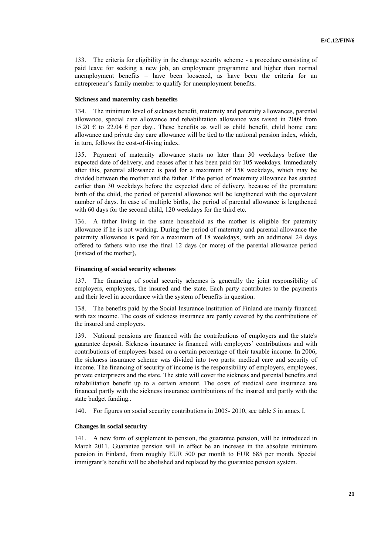133. The criteria for eligibility in the change security scheme - a procedure consisting of paid leave for seeking a new job, an employment programme and higher than normal unemployment benefits – have been loosened, as have been the criteria for an entrepreneur's family member to qualify for unemployment benefits.

#### **Sickness and maternity cash benefits**

134. The minimum level of sickness benefit, maternity and paternity allowances, parental allowance, special care allowance and rehabilitation allowance was raised in 2009 from 15.20  $\epsilon$  to 22.04  $\epsilon$  per day.. These benefits as well as child benefit, child home care allowance and private day care allowance will be tied to the national pension index, which, in turn, follows the cost-of-living index.

135. Payment of maternity allowance starts no later than 30 weekdays before the expected date of delivery, and ceases after it has been paid for 105 weekdays. Immediately after this, parental allowance is paid for a maximum of 158 weekdays, which may be divided between the mother and the father. If the period of maternity allowance has started earlier than 30 weekdays before the expected date of delivery, because of the premature birth of the child, the period of parental allowance will be lengthened with the equivalent number of days. In case of multiple births, the period of parental allowance is lengthened with 60 days for the second child, 120 weekdays for the third etc.

136. A father living in the same household as the mother is eligible for paternity allowance if he is not working. During the period of maternity and parental allowance the paternity allowance is paid for a maximum of 18 weekdays, with an additional 24 days offered to fathers who use the final 12 days (or more) of the parental allowance period (instead of the mother),

# **Financing of social security schemes**

137. The financing of social security schemes is generally the joint responsibility of employers, employees, the insured and the state. Each party contributes to the payments and their level in accordance with the system of benefits in question.

138. The benefits paid by the Social Insurance Institution of Finland are mainly financed with tax income. The costs of sickness insurance are partly covered by the contributions of the insured and employers.

139. National pensions are financed with the contributions of employers and the state's guarantee deposit. Sickness insurance is financed with employers' contributions and with contributions of employees based on a certain percentage of their taxable income. In 2006, the sickness insurance scheme was divided into two parts: medical care and security of income. The financing of security of income is the responsibility of employers, employees, private enterprisers and the state. The state will cover the sickness and parental benefits and rehabilitation benefit up to a certain amount. The costs of medical care insurance are financed partly with the sickness insurance contributions of the insured and partly with the state budget funding..

140. For figures on social security contributions in 2005- 2010, see table 5 in annex I.

# **Changes in social security**

141. A new form of supplement to pension, the guarantee pension, will be introduced in March 2011. Guarantee pension will in effect be an increase in the absolute minimum pension in Finland, from roughly EUR 500 per month to EUR 685 per month. Special immigrant's benefit will be abolished and replaced by the guarantee pension system.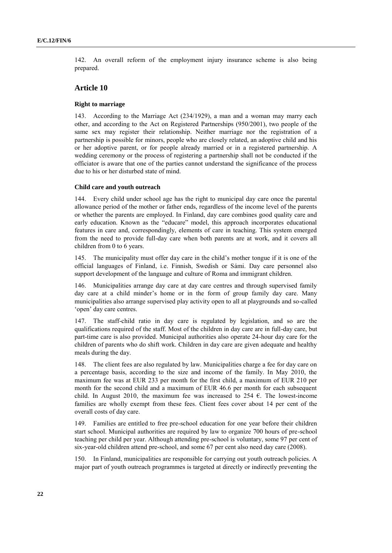142. An overall reform of the employment injury insurance scheme is also being prepared.

# **Article 10**

#### **Right to marriage**

143. According to the Marriage Act (234/1929), a man and a woman may marry each other, and according to the Act on Registered Partnerships (950/2001), two people of the same sex may register their relationship. Neither marriage nor the registration of a partnership is possible for minors, people who are closely related, an adoptive child and his or her adoptive parent, or for people already married or in a registered partnership. A wedding ceremony or the process of registering a partnership shall not be conducted if the officiator is aware that one of the parties cannot understand the significance of the process due to his or her disturbed state of mind.

# **Child care and youth outreach**

144. Every child under school age has the right to municipal day care once the parental allowance period of the mother or father ends, regardless of the income level of the parents or whether the parents are employed. In Finland, day care combines good quality care and early education. Known as the "educare" model, this approach incorporates educational features in care and, correspondingly, elements of care in teaching. This system emerged from the need to provide full-day care when both parents are at work, and it covers all children from 0 to 6 years.

145. The municipality must offer day care in the child's mother tongue if it is one of the official languages of Finland, i.e. Finnish, Swedish or Sámi. Day care personnel also support development of the language and culture of Roma and immigrant children.

146. Municipalities arrange day care at day care centres and through supervised family day care at a child minder's home or in the form of group family day care. Many municipalities also arrange supervised play activity open to all at playgrounds and so-called 'open' day care centres.

147. The staff-child ratio in day care is regulated by legislation, and so are the qualifications required of the staff. Most of the children in day care are in full-day care, but part-time care is also provided. Municipal authorities also operate 24-hour day care for the children of parents who do shift work. Children in day care are given adequate and healthy meals during the day.

148. The client fees are also regulated by law. Municipalities charge a fee for day care on a percentage basis, according to the size and income of the family. In May 2010, the maximum fee was at EUR 233 per month for the first child, a maximum of EUR 210 per month for the second child and a maximum of EUR 46.6 per month for each subsequent child. In August 2010, the maximum fee was increased to 254  $\epsilon$ . The lowest-income families are wholly exempt from these fees. Client fees cover about 14 per cent of the overall costs of day care.

149. Families are entitled to free pre-school education for one year before their children start school. Municipal authorities are required by law to organize 700 hours of pre-school teaching per child per year. Although attending pre-school is voluntary, some 97 per cent of six-year-old children attend pre-school, and some 67 per cent also need day care (2008).

150. In Finland, municipalities are responsible for carrying out youth outreach policies. A major part of youth outreach programmes is targeted at directly or indirectly preventing the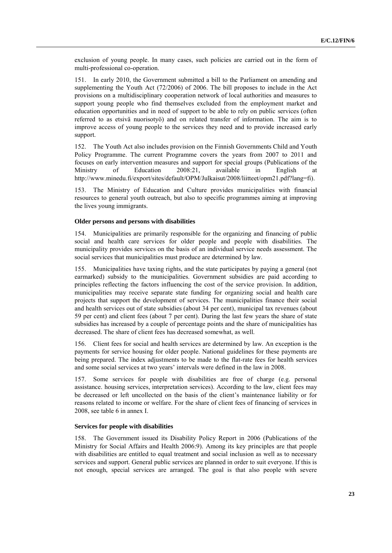exclusion of young people. In many cases, such policies are carried out in the form of multi-professional co-operation.

151. In early 2010, the Government submitted a bill to the Parliament on amending and supplementing the Youth Act (72/2006) of 2006. The bill proposes to include in the Act provisions on a multidisciplinary cooperation network of local authorities and measures to support young people who find themselves excluded from the employment market and education opportunities and in need of support to be able to rely on public services (often referred to as etsivä nuorisotyö) and on related transfer of information. The aim is to improve access of young people to the services they need and to provide increased early support.

152. The Youth Act also includes provision on the Finnish Governments Child and Youth Policy Programme. The current Programme covers the years from 2007 to 2011 and focuses on early intervention measures and support for special groups (Publications of the Ministry of Education 2008:21, available in English at Ministry of Education 2008:21, available in English at http://www.minedu.fi/export/sites/default/OPM/Julkaisut/2008/liitteet/opm21.pdf?lang=fi).

153. The Ministry of Education and Culture provides municipalities with financial resources to general youth outreach, but also to specific programmes aiming at improving the lives young immigrants.

# **Older persons and persons with disabilities**

154. Municipalities are primarily responsible for the organizing and financing of public social and health care services for older people and people with disabilities. The municipality provides services on the basis of an individual service needs assessment. The social services that municipalities must produce are determined by law.

155. Municipalities have taxing rights, and the state participates by paying a general (not earmarked) subsidy to the municipalities. Government subsidies are paid according to principles reflecting the factors influencing the cost of the service provision. In addition, municipalities may receive separate state funding for organizing social and health care projects that support the development of services. The municipalities finance their social and health services out of state subsidies (about 34 per cent), municipal tax revenues (about 59 per cent) and client fees (about 7 per cent). During the last few years the share of state subsidies has increased by a couple of percentage points and the share of municipalities has decreased. The share of client fees has decreased somewhat, as well.

156. Client fees for social and health services are determined by law. An exception is the payments for service housing for older people. National guidelines for these payments are being prepared. The index adjustments to be made to the flat-rate fees for health services and some social services at two years' intervals were defined in the law in 2008.

157. Some services for people with disabilities are free of charge (e.g. personal assistance. housing services, interpretation services). According to the law, client fees may be decreased or left uncollected on the basis of the client's maintenance liability or for reasons related to income or welfare. For the share of client fees of financing of services in 2008, see table 6 in annex I.

#### **Services for people with disabilities**

158. The Government issued its Disability Policy Report in 2006 (Publications of the Ministry for Social Affairs and Health 2006:9). Among its key principles are that people with disabilities are entitled to equal treatment and social inclusion as well as to necessary services and support. General public services are planned in order to suit everyone. If this is not enough, special services are arranged. The goal is that also people with severe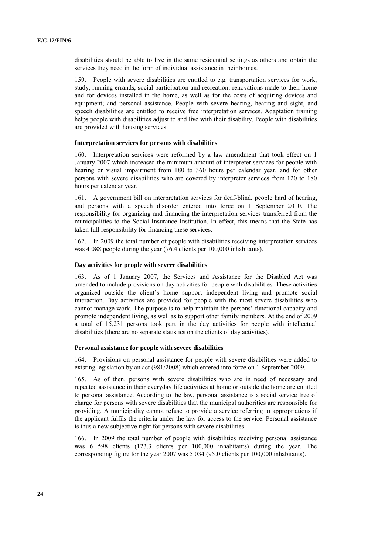disabilities should be able to live in the same residential settings as others and obtain the services they need in the form of individual assistance in their homes.

159. People with severe disabilities are entitled to e.g. transportation services for work, study, running errands, social participation and recreation; renovations made to their home and for devices installed in the home, as well as for the costs of acquiring devices and equipment; and personal assistance. People with severe hearing, hearing and sight, and speech disabilities are entitled to receive free interpretation services. Adaptation training helps people with disabilities adjust to and live with their disability. People with disabilities are provided with housing services.

#### **Interpretation services for persons with disabilities**

160. Interpretation services were reformed by a law amendment that took effect on 1 January 2007 which increased the minimum amount of interpreter services for people with hearing or visual impairment from 180 to 360 hours per calendar year, and for other persons with severe disabilities who are covered by interpreter services from 120 to 180 hours per calendar year.

161. A government bill on interpretation services for deaf-blind, people hard of hearing, and persons with a speech disorder entered into force on 1 September 2010. The responsibility for organizing and financing the interpretation services transferred from the municipalities to the Social Insurance Institution. In effect, this means that the State has taken full responsibility for financing these services.

162. In 2009 the total number of people with disabilities receiving interpretation services was 4 088 people during the year (76.4 clients per 100,000 inhabitants).

#### **Day activities for people with severe disabilities**

163. As of 1 January 2007, the Services and Assistance for the Disabled Act was amended to include provisions on day activities for people with disabilities. These activities organized outside the client's home support independent living and promote social interaction. Day activities are provided for people with the most severe disabilities who cannot manage work. The purpose is to help maintain the persons' functional capacity and promote independent living, as well as to support other family members. At the end of 2009 a total of 15,231 persons took part in the day activities for people with intellectual disabilities (there are no separate statistics on the clients of day activities).

#### **Personal assistance for people with severe disabilities**

164. Provisions on personal assistance for people with severe disabilities were added to existing legislation by an act (981/2008) which entered into force on 1 September 2009.

165. As of then, persons with severe disabilities who are in need of necessary and repeated assistance in their everyday life activities at home or outside the home are entitled to personal assistance. According to the law, personal assistance is a social service free of charge for persons with severe disabilities that the municipal authorities are responsible for providing. A municipality cannot refuse to provide a service referring to appropriations if the applicant fulfils the criteria under the law for access to the service. Personal assistance is thus a new subjective right for persons with severe disabilities.

166. In 2009 the total number of people with disabilities receiving personal assistance was 6 598 clients (123.3 clients per 100,000 inhabitants) during the year. The corresponding figure for the year 2007 was 5 034 (95.0 clients per 100,000 inhabitants).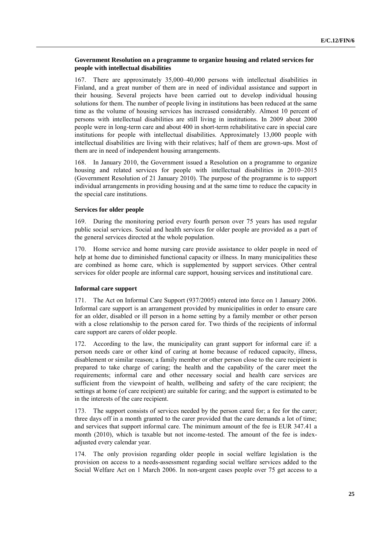# **Government Resolution on a programme to organize housing and related services for people with intellectual disabilities**

167. There are approximately 35,000–40,000 persons with intellectual disabilities in Finland, and a great number of them are in need of individual assistance and support in their housing. Several projects have been carried out to develop individual housing solutions for them. The number of people living in institutions has been reduced at the same time as the volume of housing services has increased considerably. Almost 10 percent of persons with intellectual disabilities are still living in institutions. In 2009 about 2000 people were in long-term care and about 400 in short-term rehabilitative care in special care institutions for people with intellectual disabilities. Approximately 13,000 people with intellectual disabilities are living with their relatives; half of them are grown-ups. Most of them are in need of independent housing arrangements.

168. In January 2010, the Government issued a Resolution on a programme to organize housing and related services for people with intellectual disabilities in 2010–2015 (Government Resolution of 21 January 2010). The purpose of the programme is to support individual arrangements in providing housing and at the same time to reduce the capacity in the special care institutions.

#### **Services for older people**

169. During the monitoring period every fourth person over 75 years has used regular public social services. Social and health services for older people are provided as a part of the general services directed at the whole population.

170. Home service and home nursing care provide assistance to older people in need of help at home due to diminished functional capacity or illness. In many municipalities these are combined as home care, which is supplemented by support services. Other central services for older people are informal care support, housing services and institutional care.

#### **Informal care support**

171. The Act on Informal Care Support (937/2005) entered into force on 1 January 2006. Informal care support is an arrangement provided by municipalities in order to ensure care for an older, disabled or ill person in a home setting by a family member or other person with a close relationship to the person cared for. Two thirds of the recipients of informal care support are carers of older people.

172. According to the law, the municipality can grant support for informal care if: a person needs care or other kind of caring at home because of reduced capacity, illness, disablement or similar reason; a family member or other person close to the care recipient is prepared to take charge of caring; the health and the capability of the carer meet the requirements; informal care and other necessary social and health care services are sufficient from the viewpoint of health, wellbeing and safety of the care recipient; the settings at home (of care recipient) are suitable for caring; and the support is estimated to be in the interests of the care recipient.

The support consists of services needed by the person cared for; a fee for the carer; three days off in a month granted to the carer provided that the care demands a lot of time; and services that support informal care. The minimum amount of the fee is EUR 347.41 a month (2010), which is taxable but not income-tested. The amount of the fee is indexadjusted every calendar year.

174. The only provision regarding older people in social welfare legislation is the provision on access to a needs-assessment regarding social welfare services added to the Social Welfare Act on 1 March 2006. In non-urgent cases people over 75 get access to a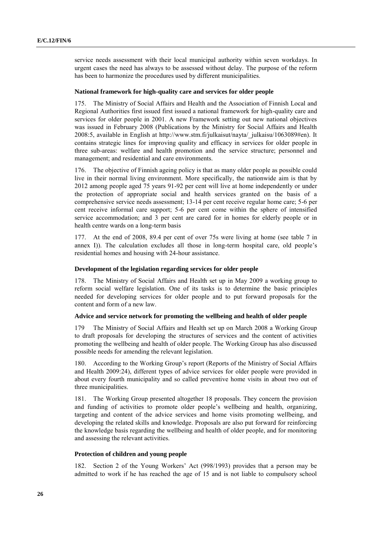service needs assessment with their local municipal authority within seven workdays. In urgent cases the need has always to be assessed without delay. The purpose of the reform has been to harmonize the procedures used by different municipalities.

#### **National framework for high-quality care and services for older people**

175. The Ministry of Social Affairs and Health and the Association of Finnish Local and Regional Authorities first issued first issued a national framework for high-quality care and services for older people in 2001. A new Framework setting out new national objectives was issued in February 2008 (Publications by the Ministry for Social Affairs and Health 2008:5, available in English at http://www.stm.fi/julkaisut/nayta/\_julkaisu/1063089#en). It contains strategic lines for improving quality and efficacy in services for older people in three sub-areas: welfare and health promotion and the service structure; personnel and management; and residential and care environments.

176. The objective of Finnish ageing policy is that as many older people as possible could live in their normal living environment. More specifically, the nationwide aim is that by 2012 among people aged 75 years 91-92 per cent will live at home independently or under the protection of appropriate social and health services granted on the basis of a comprehensive service needs assessment; 13-14 per cent receive regular home care; 5-6 per cent receive informal care support; 5-6 per cent come within the sphere of intensified service accommodation; and 3 per cent are cared for in homes for elderly people or in health centre wards on a long-term basis

177. At the end of 2008, 89.4 per cent of over 75s were living at home (see table 7 in annex I)). The calculation excludes all those in long-term hospital care, old people's residential homes and housing with 24-hour assistance.

#### **Development of the legislation regarding services for older people**

178. The Ministry of Social Affairs and Health set up in May 2009 a working group to reform social welfare legislation. One of its tasks is to determine the basic principles needed for developing services for older people and to put forward proposals for the content and form of a new law.

#### **Advice and service network for promoting the wellbeing and health of older people**

179 The Ministry of Social Affairs and Health set up on March 2008 a Working Group to draft proposals for developing the structures of services and the content of activities promoting the wellbeing and health of older people. The Working Group has also discussed possible needs for amending the relevant legislation.

180. According to the Working Group's report (Reports of the Ministry of Social Affairs and Health 2009:24), different types of advice services for older people were provided in about every fourth municipality and so called preventive home visits in about two out of three municipalities.

181. The Working Group presented altogether 18 proposals. They concern the provision and funding of activities to promote older people's wellbeing and health, organizing, targeting and content of the advice services and home visits promoting wellbeing, and developing the related skills and knowledge. Proposals are also put forward for reinforcing the knowledge basis regarding the wellbeing and health of older people, and for monitoring and assessing the relevant activities.

#### **Protection of children and young people**

182. Section 2 of the Young Workers' Act (998/1993) provides that a person may be admitted to work if he has reached the age of 15 and is not liable to compulsory school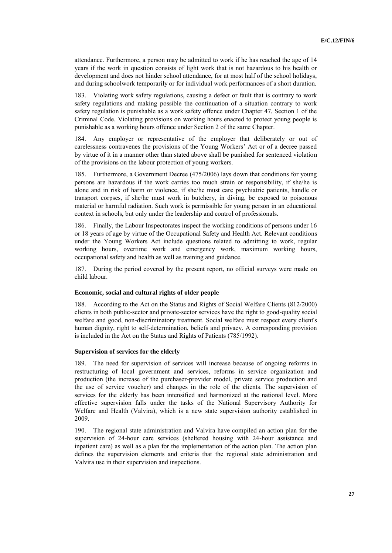attendance. Furthermore, a person may be admitted to work if he has reached the age of 14 years if the work in question consists of light work that is not hazardous to his health or development and does not hinder school attendance, for at most half of the school holidays, and during schoolwork temporarily or for individual work performances of a short duration.

183. Violating work safety regulations, causing a defect or fault that is contrary to work safety regulations and making possible the continuation of a situation contrary to work safety regulation is punishable as a work safety offence under Chapter 47, Section 1 of the Criminal Code. Violating provisions on working hours enacted to protect young people is punishable as a working hours offence under Section 2 of the same Chapter.

184. Any employer or representative of the employer that deliberately or out of carelessness contravenes the provisions of the Young Workers' Act or of a decree passed by virtue of it in a manner other than stated above shall be punished for sentenced violation of the provisions on the labour protection of young workers.

185. Furthermore, a Government Decree (475/2006) lays down that conditions for young persons are hazardous if the work carries too much strain or responsibility, if she/he is alone and in risk of harm or violence, if she/he must care psychiatric patients, handle or transport corpses, if she/he must work in butchery, in diving, be exposed to poisonous material or harmful radiation. Such work is permissible for young person in an educational context in schools, but only under the leadership and control of professionals.

186. Finally, the Labour Inspectorates inspect the working conditions of persons under 16 or 18 years of age by virtue of the Occupational Safety and Health Act. Relevant conditions under the Young Workers Act include questions related to admitting to work, regular working hours, overtime work and emergency work, maximum working hours, occupational safety and health as well as training and guidance.

187. During the period covered by the present report, no official surveys were made on child labour.

#### **Economic, social and cultural rights of older people**

188. According to the Act on the Status and Rights of Social Welfare Clients (812/2000) clients in both public-sector and private-sector services have the right to good-quality social welfare and good, non-discriminatory treatment. Social welfare must respect every client's human dignity, right to self-determination, beliefs and privacy. A corresponding provision is included in the Act on the Status and Rights of Patients (785/1992).

#### **Supervision of services for the elderly**

189. The need for supervision of services will increase because of ongoing reforms in restructuring of local government and services, reforms in service organization and production (the increase of the purchaser-provider model, private service production and the use of service voucher) and changes in the role of the clients. The supervision of services for the elderly has been intensified and harmonized at the national level. More effective supervision falls under the tasks of the National Supervisory Authority for Welfare and Health (Valvira), which is a new state supervision authority established in 2009.

190. The regional state administration and Valvira have compiled an action plan for the supervision of 24-hour care services (sheltered housing with 24-hour assistance and inpatient care) as well as a plan for the implementation of the action plan. The action plan defines the supervision elements and criteria that the regional state administration and Valvira use in their supervision and inspections.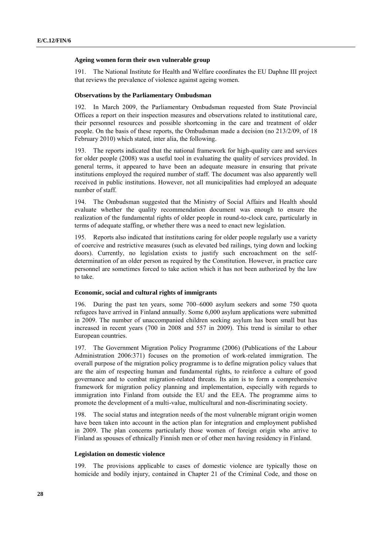#### **Ageing women form their own vulnerable group**

191. The National Institute for Health and Welfare coordinates the EU Daphne III project that reviews the prevalence of violence against ageing women.

#### **Observations by the Parliamentary Ombudsman**

192. In March 2009, the Parliamentary Ombudsman requested from State Provincial Offices a report on their inspection measures and observations related to institutional care, their personnel resources and possible shortcoming in the care and treatment of older people. On the basis of these reports, the Ombudsman made a decision (no 213/2/09, of 18 February 2010) which stated, inter alia, the following.

193. The reports indicated that the national framework for high-quality care and services for older people (2008) was a useful tool in evaluating the quality of services provided. In general terms, it appeared to have been an adequate measure in ensuring that private institutions employed the required number of staff. The document was also apparently well received in public institutions. However, not all municipalities had employed an adequate number of staff.

194. The Ombudsman suggested that the Ministry of Social Affairs and Health should evaluate whether the quality recommendation document was enough to ensure the realization of the fundamental rights of older people in round-to-clock care, particularly in terms of adequate staffing, or whether there was a need to enact new legislation.

195. Reports also indicated that institutions caring for older people regularly use a variety of coercive and restrictive measures (such as elevated bed railings, tying down and locking doors). Currently, no legislation exists to justify such encroachment on the selfdetermination of an older person as required by the Constitution. However, in practice care personnel are sometimes forced to take action which it has not been authorized by the law to take.

## **Economic, social and cultural rights of immigrants**

196. During the past ten years, some 700–6000 asylum seekers and some 750 quota refugees have arrived in Finland annually. Some 6,000 asylum applications were submitted in 2009. The number of unaccompanied children seeking asylum has been small but has increased in recent years (700 in 2008 and 557 in 2009). This trend is similar to other European countries.

197. The Government Migration Policy Programme (2006) (Publications of the Labour Administration 2006:371) focuses on the promotion of work-related immigration. The overall purpose of the migration policy programme is to define migration policy values that are the aim of respecting human and fundamental rights, to reinforce a culture of good governance and to combat migration-related threats. Its aim is to form a comprehensive framework for migration policy planning and implementation, especially with regards to immigration into Finland from outside the EU and the EEA. The programme aims to promote the development of a multi-value, multicultural and non-discriminating society.

198. The social status and integration needs of the most vulnerable migrant origin women have been taken into account in the action plan for integration and employment published in 2009. The plan concerns particularly those women of foreign origin who arrive to Finland as spouses of ethnically Finnish men or of other men having residency in Finland.

#### **Legislation on domestic violence**

199. The provisions applicable to cases of domestic violence are typically those on homicide and bodily injury, contained in Chapter 21 of the Criminal Code, and those on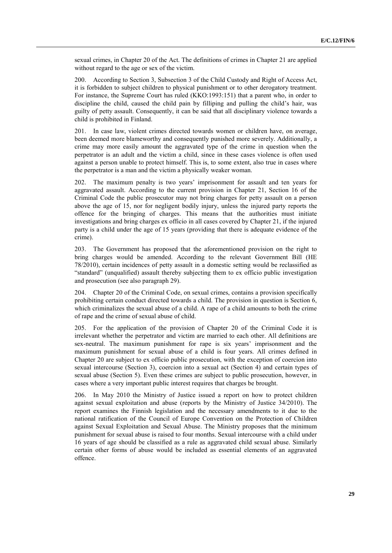sexual crimes, in Chapter 20 of the Act. The definitions of crimes in Chapter 21 are applied without regard to the age or sex of the victim.

200. According to Section 3, Subsection 3 of the Child Custody and Right of Access Act, it is forbidden to subject children to physical punishment or to other derogatory treatment. For instance, the Supreme Court has ruled (KKO:1993:151) that a parent who, in order to discipline the child, caused the child pain by filliping and pulling the child's hair, was guilty of petty assault. Consequently, it can be said that all disciplinary violence towards a child is prohibited in Finland.

In case law, violent crimes directed towards women or children have, on average, been deemed more blameworthy and consequently punished more severely. Additionally, a crime may more easily amount the aggravated type of the crime in question when the perpetrator is an adult and the victim a child, since in these cases violence is often used against a person unable to protect himself. This is, to some extent, also true in cases where the perpetrator is a man and the victim a physically weaker woman.

202. The maximum penalty is two years' imprisonment for assault and ten years for aggravated assault. According to the current provision in Chapter 21, Section 16 of the Criminal Code the public prosecutor may not bring charges for petty assault on a person above the age of 15, nor for negligent bodily injury, unless the injured party reports the offence for the bringing of charges. This means that the authorities must initiate investigations and bring charges ex officio in all cases covered by Chapter 21, if the injured party is a child under the age of 15 years (providing that there is adequate evidence of the crime).

203. The Government has proposed that the aforementioned provision on the right to bring charges would be amended. According to the relevant Government Bill (HE 78/2010), certain incidences of petty assault in a domestic setting would be reclassified as "standard" (unqualified) assault thereby subjecting them to ex officio public investigation and prosecution (see also paragraph 29).

204. Chapter 20 of the Criminal Code, on sexual crimes, contains a provision specifically prohibiting certain conduct directed towards a child. The provision in question is Section 6, which criminalizes the sexual abuse of a child. A rape of a child amounts to both the crime of rape and the crime of sexual abuse of child.

205. For the application of the provision of Chapter 20 of the Criminal Code it is irrelevant whether the perpetrator and victim are married to each other. All definitions are sex-neutral. The maximum punishment for rape is six years' imprisonment and the maximum punishment for sexual abuse of a child is four years. All crimes defined in Chapter 20 are subject to ex officio public prosecution, with the exception of coercion into sexual intercourse (Section 3), coercion into a sexual act (Section 4) and certain types of sexual abuse (Section 5). Even these crimes are subject to public prosecution, however, in cases where a very important public interest requires that charges be brought.

206. In May 2010 the Ministry of Justice issued a report on how to protect children against sexual exploitation and abuse (reports by the Ministry of Justice 34/2010). The report examines the Finnish legislation and the necessary amendments to it due to the national ratification of the Council of Europe Convention on the Protection of Children against Sexual Exploitation and Sexual Abuse. The Ministry proposes that the minimum punishment for sexual abuse is raised to four months. Sexual intercourse with a child under 16 years of age should be classified as a rule as aggravated child sexual abuse. Similarly certain other forms of abuse would be included as essential elements of an aggravated offence.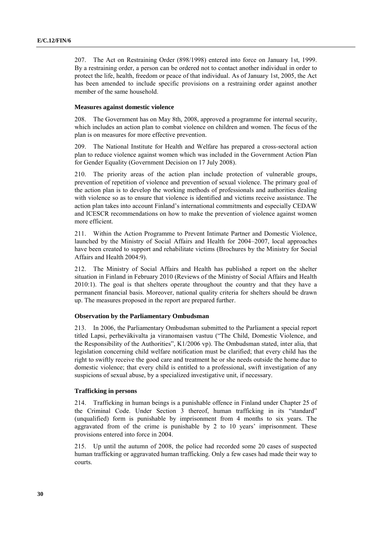207. The Act on Restraining Order (898/1998) entered into force on January 1st, 1999. By a restraining order, a person can be ordered not to contact another individual in order to protect the life, health, freedom or peace of that individual. As of January 1st, 2005, the Act has been amended to include specific provisions on a restraining order against another member of the same household.

#### **Measures against domestic violence**

208. The Government has on May 8th, 2008, approved a programme for internal security, which includes an action plan to combat violence on children and women. The focus of the plan is on measures for more effective prevention.

209. The National Institute for Health and Welfare has prepared a cross-sectoral action plan to reduce violence against women which was included in the Government Action Plan for Gender Equality (Government Decision on 17 July 2008).

210. The priority areas of the action plan include protection of vulnerable groups, prevention of repetition of violence and prevention of sexual violence. The primary goal of the action plan is to develop the working methods of professionals and authorities dealing with violence so as to ensure that violence is identified and victims receive assistance. The action plan takes into account Finland's international commitments and especially CEDAW and ICESCR recommendations on how to make the prevention of violence against women more efficient.

211. Within the Action Programme to Prevent Intimate Partner and Domestic Violence, launched by the Ministry of Social Affairs and Health for 2004–2007, local approaches have been created to support and rehabilitate victims (Brochures by the Ministry for Social Affairs and Health 2004:9).

212. The Ministry of Social Affairs and Health has published a report on the shelter situation in Finland in February 2010 (Reviews of the Ministry of Social Affairs and Health 2010:1). The goal is that shelters operate throughout the country and that they have a permanent financial basis. Moreover, national quality criteria for shelters should be drawn up. The measures proposed in the report are prepared further.

# **Observation by the Parliamentary Ombudsman**

213. In 2006, the Parliamentary Ombudsman submitted to the Parliament a special report titled Lapsi, perheväkivalta ja viranomaisen vastuu ("The Child, Domestic Violence, and the Responsibility of the Authorities", K1/2006 vp). The Ombudsman stated, inter alia, that legislation concerning child welfare notification must be clarified; that every child has the right to swiftly receive the good care and treatment he or she needs outside the home due to domestic violence; that every child is entitled to a professional, swift investigation of any suspicions of sexual abuse, by a specialized investigative unit, if necessary.

# **Trafficking in persons**

214. Trafficking in human beings is a punishable offence in Finland under Chapter 25 of the Criminal Code. Under Section 3 thereof, human trafficking in its "standard" (unqualified) form is punishable by imprisonment from 4 months to six years. The aggravated from of the crime is punishable by 2 to 10 years' imprisonment. These provisions entered into force in 2004.

215. Up until the autumn of 2008, the police had recorded some 20 cases of suspected human trafficking or aggravated human trafficking. Only a few cases had made their way to courts.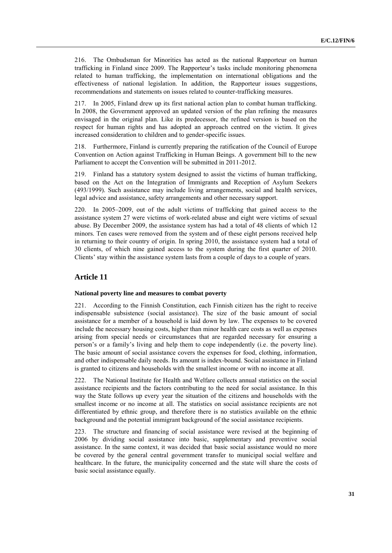216. The Ombudsman for Minorities has acted as the national Rapporteur on human trafficking in Finland since 2009. The Rapporteur's tasks include monitoring phenomena related to human trafficking, the implementation on international obligations and the effectiveness of national legislation. In addition, the Rapporteur issues suggestions, recommendations and statements on issues related to counter-trafficking measures.

217. In 2005, Finland drew up its first national action plan to combat human trafficking. In 2008, the Government approved an updated version of the plan refining the measures envisaged in the original plan. Like its predecessor, the refined version is based on the respect for human rights and has adopted an approach centred on the victim. It gives increased consideration to children and to gender-specific issues.

218. Furthermore, Finland is currently preparing the ratification of the Council of Europe Convention on Action against Trafficking in Human Beings. A government bill to the new Parliament to accept the Convention will be submitted in 2011-2012.

219. Finland has a statutory system designed to assist the victims of human trafficking, based on the Act on the Integration of Immigrants and Reception of Asylum Seekers (493/1999). Such assistance may include living arrangements, social and health services, legal advice and assistance, safety arrangements and other necessary support.

220. In 2005–2009, out of the adult victims of trafficking that gained access to the assistance system 27 were victims of work-related abuse and eight were victims of sexual abuse. By December 2009, the assistance system has had a total of 48 clients of which 12 minors. Ten cases were removed from the system and of these eight persons received help in returning to their country of origin. In spring 2010, the assistance system had a total of 30 clients, of which nine gained access to the system during the first quarter of 2010. Clients' stay within the assistance system lasts from a couple of days to a couple of years.

# **Article 11**

#### **National poverty line and measures to combat poverty**

221. According to the Finnish Constitution, each Finnish citizen has the right to receive indispensable subsistence (social assistance). The size of the basic amount of social assistance for a member of a household is laid down by law. The expenses to be covered include the necessary housing costs, higher than minor health care costs as well as expenses arising from special needs or circumstances that are regarded necessary for ensuring a person's or a family's living and help them to cope independently (i.e. the poverty line). The basic amount of social assistance covers the expenses for food, clothing, information, and other indispensable daily needs. Its amount is index-bound. Social assistance in Finland is granted to citizens and households with the smallest income or with no income at all.

222. The National Institute for Health and Welfare collects annual statistics on the social assistance recipients and the factors contributing to the need for social assistance. In this way the State follows up every year the situation of the citizens and households with the smallest income or no income at all. The statistics on social assistance recipients are not differentiated by ethnic group, and therefore there is no statistics available on the ethnic background and the potential immigrant background of the social assistance recipients.

223. The structure and financing of social assistance were revised at the beginning of 2006 by dividing social assistance into basic, supplementary and preventive social assistance. In the same context, it was decided that basic social assistance would no more be covered by the general central government transfer to municipal social welfare and healthcare. In the future, the municipality concerned and the state will share the costs of basic social assistance equally.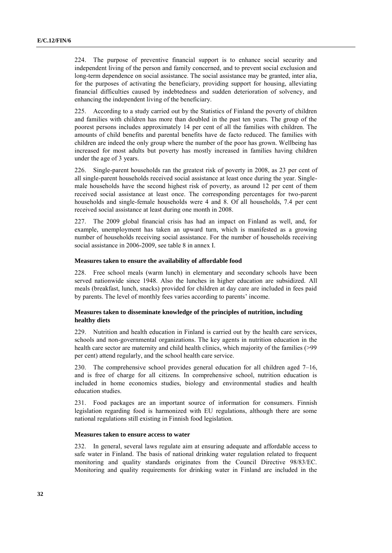224. The purpose of preventive financial support is to enhance social security and independent living of the person and family concerned, and to prevent social exclusion and long-term dependence on social assistance. The social assistance may be granted, inter alia, for the purposes of activating the beneficiary, providing support for housing, alleviating financial difficulties caused by indebtedness and sudden deterioration of solvency, and enhancing the independent living of the beneficiary.

225. According to a study carried out by the Statistics of Finland the poverty of children and families with children has more than doubled in the past ten years. The group of the poorest persons includes approximately 14 per cent of all the families with children. The amounts of child benefits and parental benefits have de facto reduced. The families with children are indeed the only group where the number of the poor has grown. Wellbeing has increased for most adults but poverty has mostly increased in families having children under the age of 3 years.

226. Single-parent households ran the greatest risk of poverty in 2008, as 23 per cent of all single-parent households received social assistance at least once during the year. Singlemale households have the second highest risk of poverty, as around 12 per cent of them received social assistance at least once. The corresponding percentages for two-parent households and single-female households were 4 and 8. Of all households, 7.4 per cent received social assistance at least during one month in 2008.

227. The 2009 global financial crisis has had an impact on Finland as well, and, for example, unemployment has taken an upward turn, which is manifested as a growing number of households receiving social assistance. For the number of households receiving social assistance in 2006-2009, see table 8 in annex I.

#### **Measures taken to ensure the availability of affordable food**

228. Free school meals (warm lunch) in elementary and secondary schools have been served nationwide since 1948. Also the lunches in higher education are subsidized. All meals (breakfast, lunch, snacks) provided for children at day care are included in fees paid by parents. The level of monthly fees varies according to parents' income.

# **Measures taken to disseminate knowledge of the principles of nutrition, including healthy diets**

229. Nutrition and health education in Finland is carried out by the health care services, schools and non-governmental organizations. The key agents in nutrition education in the health care sector are maternity and child health clinics, which majority of the families (>99 per cent) attend regularly, and the school health care service.

230. The comprehensive school provides general education for all children aged 7–16, and is free of charge for all citizens. In comprehensive school, nutrition education is included in home economics studies, biology and environmental studies and health education studies.

231. Food packages are an important source of information for consumers. Finnish legislation regarding food is harmonized with EU regulations, although there are some national regulations still existing in Finnish food legislation.

#### **Measures taken to ensure access to water**

232. In general, several laws regulate aim at ensuring adequate and affordable access to safe water in Finland. The basis of national drinking water regulation related to frequent monitoring and quality standards originates from the Council Directive 98/83/EC. Monitoring and quality requirements for drinking water in Finland are included in the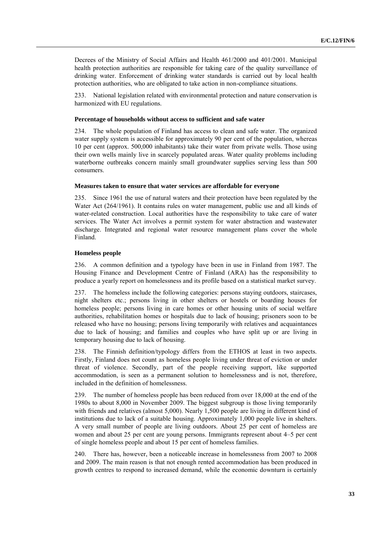Decrees of the Ministry of Social Affairs and Health 461/2000 and 401/2001. Municipal health protection authorities are responsible for taking care of the quality surveillance of drinking water. Enforcement of drinking water standards is carried out by local health protection authorities, who are obligated to take action in non-compliance situations.

233. National legislation related with environmental protection and nature conservation is harmonized with EU regulations.

#### **Percentage of households without access to sufficient and safe water**

234. The whole population of Finland has access to clean and safe water. The organized water supply system is accessible for approximately 90 per cent of the population, whereas 10 per cent (approx. 500,000 inhabitants) take their water from private wells. Those using their own wells mainly live in scarcely populated areas. Water quality problems including waterborne outbreaks concern mainly small groundwater supplies serving less than 500 consumers.

#### **Measures taken to ensure that water services are affordable for everyone**

235. Since 1961 the use of natural waters and their protection have been regulated by the Water Act (264/1961). It contains rules on water management, public use and all kinds of water-related construction. Local authorities have the responsibility to take care of water services. The Water Act involves a permit system for water abstraction and wastewater discharge. Integrated and regional water resource management plans cover the whole Finland.

#### **Homeless people**

236. A common definition and a typology have been in use in Finland from 1987. The Housing Finance and Development Centre of Finland (ARA) has the responsibility to produce a yearly report on homelessness and its profile based on a statistical market survey.

237. The homeless include the following categories: persons staying outdoors, staircases, night shelters etc.; persons living in other shelters or hostels or boarding houses for homeless people; persons living in care homes or other housing units of social welfare authorities, rehabilitation homes or hospitals due to lack of housing; prisoners soon to be released who have no housing; persons living temporarily with relatives and acquaintances due to lack of housing; and families and couples who have split up or are living in temporary housing due to lack of housing.

238. The Finnish definition/typology differs from the ETHOS at least in two aspects. Firstly, Finland does not count as homeless people living under threat of eviction or under threat of violence. Secondly, part of the people receiving support, like supported accommodation, is seen as a permanent solution to homelessness and is not, therefore, included in the definition of homelessness.

239. The number of homeless people has been reduced from over 18,000 at the end of the 1980s to about 8,000 in November 2009. The biggest subgroup is those living temporarily with friends and relatives (almost 5,000). Nearly 1,500 people are living in different kind of institutions due to lack of a suitable housing. Approximately 1,000 people live in shelters. A very small number of people are living outdoors. About 25 per cent of homeless are women and about 25 per cent are young persons. Immigrants represent about 4–5 per cent of single homeless people and about 15 per cent of homeless families.

240. There has, however, been a noticeable increase in homelessness from 2007 to 2008 and 2009. The main reason is that not enough rented accommodation has been produced in growth centres to respond to increased demand, while the economic downturn is certainly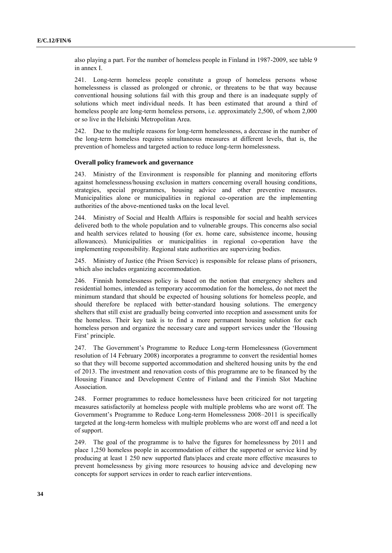also playing a part. For the number of homeless people in Finland in 1987-2009, see table 9 in annex I.

241. Long-term homeless people constitute a group of homeless persons whose homelessness is classed as prolonged or chronic, or threatens to be that way because conventional housing solutions fail with this group and there is an inadequate supply of solutions which meet individual needs. It has been estimated that around a third of homeless people are long-term homeless persons, i.e. approximately 2,500, of whom 2,000 or so live in the Helsinki Metropolitan Area.

242. Due to the multiple reasons for long-term homelessness, a decrease in the number of the long-term homeless requires simultaneous measures at different levels, that is, the prevention of homeless and targeted action to reduce long-term homelessness.

# **Overall policy framework and governance**

243. Ministry of the Environment is responsible for planning and monitoring efforts against homelessness/housing exclusion in matters concerning overall housing conditions, strategies, special programmes, housing advice and other preventive measures. Municipalities alone or municipalities in regional co-operation are the implementing authorities of the above-mentioned tasks on the local level.

244. Ministry of Social and Health Affairs is responsible for social and health services delivered both to the whole population and to vulnerable groups. This concerns also social and health services related to housing (for ex. home care, subsistence income, housing allowances). Municipalities or municipalities in regional co-operation have the implementing responsibility. Regional state authorities are supervizing bodies.

245. Ministry of Justice (the Prison Service) is responsible for release plans of prisoners, which also includes organizing accommodation.

246. Finnish homelessness policy is based on the notion that emergency shelters and residential homes, intended as temporary accommodation for the homeless, do not meet the minimum standard that should be expected of housing solutions for homeless people, and should therefore be replaced with better-standard housing solutions. The emergency shelters that still exist are gradually being converted into reception and assessment units for the homeless. Their key task is to find a more permanent housing solution for each homeless person and organize the necessary care and support services under the 'Housing First' principle.

247. The Government's Programme to Reduce Long-term Homelessness (Government resolution of 14 February 2008) incorporates a programme to convert the residential homes so that they will become supported accommodation and sheltered housing units by the end of 2013. The investment and renovation costs of this programme are to be financed by the Housing Finance and Development Centre of Finland and the Finnish Slot Machine Association.

248. Former programmes to reduce homelessness have been criticized for not targeting measures satisfactorily at homeless people with multiple problems who are worst off. The Government's Programme to Reduce Long-term Homelessness 2008–2011 is specifically targeted at the long-term homeless with multiple problems who are worst off and need a lot of support.

249. The goal of the programme is to halve the figures for homelessness by 2011 and place 1,250 homeless people in accommodation of either the supported or service kind by producing at least 1 250 new supported flats/places and create more effective measures to prevent homelessness by giving more resources to housing advice and developing new concepts for support services in order to reach earlier interventions.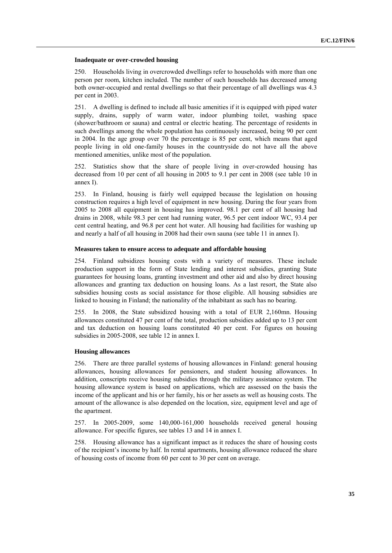#### **Inadequate or over-crowded housing**

250. Households living in overcrowded dwellings refer to households with more than one person per room, kitchen included. The number of such households has decreased among both owner-occupied and rental dwellings so that their percentage of all dwellings was 4.3 per cent in 2003.

251. A dwelling is defined to include all basic amenities if it is equipped with piped water supply, drains, supply of warm water, indoor plumbing toilet, washing space (shower/bathroom or sauna) and central or electric heating. The percentage of residents in such dwellings among the whole population has continuously increased, being 90 per cent in 2004. In the age group over 70 the percentage is 85 per cent, which means that aged people living in old one-family houses in the countryside do not have all the above mentioned amenities, unlike most of the population.

252. Statistics show that the share of people living in over-crowded housing has decreased from 10 per cent of all housing in 2005 to 9.1 per cent in 2008 (see table 10 in annex I).

253. In Finland, housing is fairly well equipped because the legislation on housing construction requires a high level of equipment in new housing. During the four years from 2005 to 2008 all equipment in housing has improved. 98.1 per cent of all housing had drains in 2008, while 98.3 per cent had running water, 96.5 per cent indoor WC, 93.4 per cent central heating, and 96.8 per cent hot water. All housing had facilities for washing up and nearly a half of all housing in 2008 had their own sauna (see table 11 in annex I).

# **Measures taken to ensure access to adequate and affordable housing**

254. Finland subsidizes housing costs with a variety of measures. These include production support in the form of State lending and interest subsidies, granting State guarantees for housing loans, granting investment and other aid and also by direct housing allowances and granting tax deduction on housing loans. As a last resort, the State also subsidies housing costs as social assistance for those eligible. All housing subsidies are linked to housing in Finland; the nationality of the inhabitant as such has no bearing.

255. In 2008, the State subsidized housing with a total of EUR 2,160mn. Housing allowances constituted 47 per cent of the total, production subsidies added up to 13 per cent and tax deduction on housing loans constituted 40 per cent. For figures on housing subsidies in 2005-2008, see table 12 in annex I.

#### **Housing allowances**

256. There are three parallel systems of housing allowances in Finland: general housing allowances, housing allowances for pensioners, and student housing allowances. In addition, conscripts receive housing subsidies through the military assistance system. The housing allowance system is based on applications, which are assessed on the basis the income of the applicant and his or her family, his or her assets as well as housing costs. The amount of the allowance is also depended on the location, size, equipment level and age of the apartment.

257. In 2005-2009, some 140,000-161,000 households received general housing allowance. For specific figures, see tables 13 and 14 in annex I.

258. Housing allowance has a significant impact as it reduces the share of housing costs of the recipient's income by half. In rental apartments, housing allowance reduced the share of housing costs of income from 60 per cent to 30 per cent on average.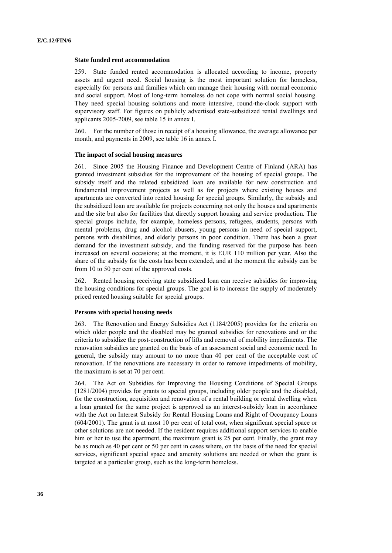#### **State funded rent accommodation**

259. State funded rented accommodation is allocated according to income, property assets and urgent need. Social housing is the most important solution for homeless, especially for persons and families which can manage their housing with normal economic and social support. Most of long-term homeless do not cope with normal social housing. They need special housing solutions and more intensive, round-the-clock support with supervisory staff. For figures on publicly advertised state-subsidized rental dwellings and applicants 2005-2009, see table 15 in annex I.

260. For the number of those in receipt of a housing allowance, the average allowance per month, and payments in 2009, see table 16 in annex I.

#### **The impact of social housing measures**

261. Since 2005 the Housing Finance and Development Centre of Finland (ARA) has granted investment subsidies for the improvement of the housing of special groups. The subsidy itself and the related subsidized loan are available for new construction and fundamental improvement projects as well as for projects where existing houses and apartments are converted into rented housing for special groups. Similarly, the subsidy and the subsidized loan are available for projects concerning not only the houses and apartments and the site but also for facilities that directly support housing and service production. The special groups include, for example, homeless persons, refugees, students, persons with mental problems, drug and alcohol abusers, young persons in need of special support, persons with disabilities, and elderly persons in poor condition. There has been a great demand for the investment subsidy, and the funding reserved for the purpose has been increased on several occasions; at the moment, it is EUR 110 million per year. Also the share of the subsidy for the costs has been extended, and at the moment the subsidy can be from 10 to 50 per cent of the approved costs.

262. Rented housing receiving state subsidized loan can receive subsidies for improving the housing conditions for special groups. The goal is to increase the supply of moderately priced rented housing suitable for special groups.

# **Persons with special housing needs**

263. The Renovation and Energy Subsidies Act (1184/2005) provides for the criteria on which older people and the disabled may be granted subsidies for renovations and or the criteria to subsidize the post-construction of lifts and removal of mobility impediments. The renovation subsidies are granted on the basis of an assessment social and economic need. In general, the subsidy may amount to no more than 40 per cent of the acceptable cost of renovation. If the renovations are necessary in order to remove impediments of mobility, the maximum is set at 70 per cent.

264. The Act on Subsidies for Improving the Housing Conditions of Special Groups (1281/2004) provides for grants to special groups, including older people and the disabled, for the construction, acquisition and renovation of a rental building or rental dwelling when a loan granted for the same project is approved as an interest-subsidy loan in accordance with the Act on Interest Subsidy for Rental Housing Loans and Right of Occupancy Loans (604/2001). The grant is at most 10 per cent of total cost, when significant special space or other solutions are not needed. If the resident requires additional support services to enable him or her to use the apartment, the maximum grant is 25 per cent. Finally, the grant may be as much as 40 per cent or 50 per cent in cases where, on the basis of the need for special services, significant special space and amenity solutions are needed or when the grant is targeted at a particular group, such as the long-term homeless.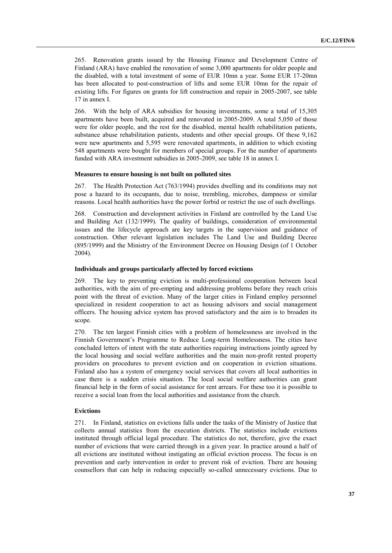265. Renovation grants issued by the Housing Finance and Development Centre of Finland (ARA) have enabled the renovation of some 3,000 apartments for older people and the disabled, with a total investment of some of EUR 10mn a year. Some EUR 17-20mn has been allocated to post-construction of lifts and some EUR 10mn for the repair of existing lifts. For figures on grants for lift construction and repair in 2005-2007, see table 17 in annex I.

266. With the help of ARA subsidies for housing investments, some a total of 15,305 apartments have been built, acquired and renovated in 2005-2009. A total 5,050 of those were for older people, and the rest for the disabled, mental health rehabilitation patients, substance abuse rehabilitation patients, students and other special groups. Of these 9,162 were new apartments and 5,595 were renovated apartments, in addition to which existing 548 apartments were bought for members of special groups. For the number of apartments funded with ARA investment subsidies in 2005-2009, see table 18 in annex I.

#### **Measures to ensure housing is not built on polluted sites**

267. The Health Protection Act (763/1994) provides dwelling and its conditions may not pose a hazard to its occupants, due to noise, trembling, microbes, dampness or similar reasons. Local health authorities have the power forbid or restrict the use of such dwellings.

268. Construction and development activities in Finland are controlled by the Land Use and Building Act (132/1999). The quality of buildings, consideration of environmental issues and the lifecycle approach are key targets in the supervision and guidance of construction. Other relevant legislation includes The Land Use and Building Decree (895/1999) and the Ministry of the Environment Decree on Housing Design (of 1 October 2004).

#### **Individuals and groups particularly affected by forced evictions**

269. The key to preventing eviction is multi-professional cooperation between local authorities, with the aim of pre-empting and addressing problems before they reach crisis point with the threat of eviction. Many of the larger cities in Finland employ personnel specialized in resident cooperation to act as housing advisors and social management officers. The housing advice system has proved satisfactory and the aim is to broaden its scope.

270. The ten largest Finnish cities with a problem of homelessness are involved in the Finnish Government's Programme to Reduce Long-term Homelessness. The cities have concluded letters of intent with the state authorities requiring instructions jointly agreed by the local housing and social welfare authorities and the main non-profit rented property providers on procedures to prevent eviction and on cooperation in eviction situations. Finland also has a system of emergency social services that covers all local authorities in case there is a sudden crisis situation. The local social welfare authorities can grant financial help in the form of social assistance for rent arrears. For these too it is possible to receive a social loan from the local authorities and assistance from the church.

#### **Evictions**

271. In Finland, statistics on evictions falls under the tasks of the Ministry of Justice that collects annual statistics from the execution districts. The statistics include evictions instituted through official legal procedure. The statistics do not, therefore, give the exact number of evictions that were carried through in a given year. In practice around a half of all evictions are instituted without instigating an official eviction process. The focus is on prevention and early intervention in order to prevent risk of eviction. There are housing counsellors that can help in reducing especially so-called unnecessary evictions. Due to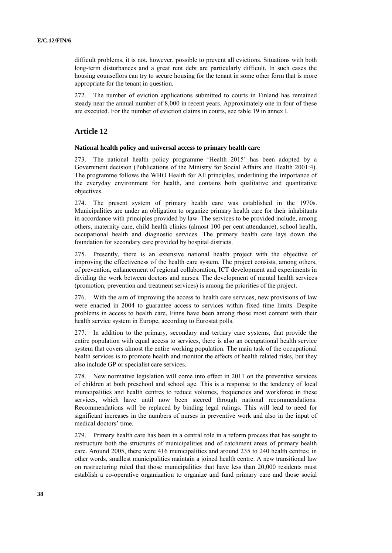difficult problems, it is not, however, possible to prevent all evictions. Situations with both long-term disturbances and a great rent debt are particularly difficult. In such cases the housing counsellors can try to secure housing for the tenant in some other form that is more appropriate for the tenant in question.

272. The number of eviction applications submitted to courts in Finland has remained steady near the annual number of 8,000 in recent years. Approximately one in four of these are executed. For the number of eviction claims in courts, see table 19 in annex I.

# **Article 12**

# **National health policy and universal access to primary health care**

273. The national health policy programme 'Health 2015' has been adopted by a Government decision (Publications of the Ministry for Social Affairs and Health 2001:4). The programme follows the WHO Health for All principles, underlining the importance of the everyday environment for health, and contains both qualitative and quantitative objectives.

274. The present system of primary health care was established in the 1970s. Municipalities are under an obligation to organize primary health care for their inhabitants in accordance with principles provided by law. The services to be provided include, among others, maternity care, child health clinics (almost 100 per cent attendance), school health, occupational health and diagnostic services. The primary health care lays down the foundation for secondary care provided by hospital districts.

275. Presently, there is an extensive national health project with the objective of improving the effectiveness of the health care system. The project consists, among others, of prevention, enhancement of regional collaboration, ICT development and experiments in dividing the work between doctors and nurses. The development of mental health services (promotion, prevention and treatment services) is among the priorities of the project.

276. With the aim of improving the access to health care services, new provisions of law were enacted in 2004 to guarantee access to services within fixed time limits. Despite problems in access to health care, Finns have been among those most content with their health service system in Europe, according to Eurostat polls.

277. In addition to the primary, secondary and tertiary care systems, that provide the entire population with equal access to services, there is also an occupational health service system that covers almost the entire working population. The main task of the occupational health services is to promote health and monitor the effects of health related risks, but they also include GP or specialist care services.

278. New normative legislation will come into effect in 2011 on the preventive services of children at both preschool and school age. This is a response to the tendency of local municipalities and health centres to reduce volumes, frequencies and workforce in these services, which have until now been steered through national recommendations. Recommendations will be replaced by binding legal rulings. This will lead to need for significant increases in the numbers of nurses in preventive work and also in the input of medical doctors' time.

279. Primary health care has been in a central role in a reform process that has sought to restructure both the structures of municipalities and of catchment areas of primary health care. Around 2005, there were 416 municipalities and around 235 to 240 health centres; in other words, smallest municipalities maintain a joined health centre. A new transitional law on restructuring ruled that those municipalities that have less than 20,000 residents must establish a co-operative organization to organize and fund primary care and those social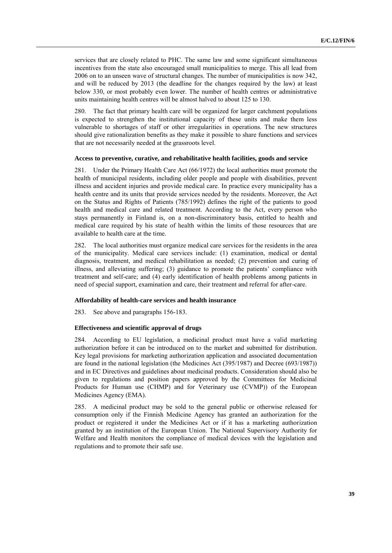services that are closely related to PHC. The same law and some significant simultaneous incentives from the state also encouraged small municipalities to merge. This all lead from 2006 on to an unseen wave of structural changes. The number of municipalities is now 342, and will be reduced by 2013 (the deadline for the changes required by the law) at least below 330, or most probably even lower. The number of health centres or administrative units maintaining health centres will be almost halved to about 125 to 130.

280. The fact that primary health care will be organized for larger catchment populations is expected to strengthen the institutional capacity of these units and make them less vulnerable to shortages of staff or other irregularities in operations. The new structures should give rationalization benefits as they make it possible to share functions and services that are not necessarily needed at the grassroots level.

#### **Access to preventive, curative, and rehabilitative health facilities, goods and service**

281. Under the Primary Health Care Act (66/1972) the local authorities must promote the health of municipal residents, including older people and people with disabilities, prevent illness and accident injuries and provide medical care. In practice every municipality has a health centre and its units that provide services needed by the residents. Moreover, the Act on the Status and Rights of Patients (785/1992) defines the right of the patients to good health and medical care and related treatment. According to the Act, every person who stays permanently in Finland is, on a non-discriminatory basis, entitled to health and medical care required by his state of health within the limits of those resources that are available to health care at the time.

282. The local authorities must organize medical care services for the residents in the area of the municipality. Medical care services include: (1) examination, medical or dental diagnosis, treatment, and medical rehabilitation as needed; (2) prevention and curing of illness, and alleviating suffering; (3) guidance to promote the patients' compliance with treatment and self-care; and (4) early identification of health problems among patients in need of special support, examination and care, their treatment and referral for after-care.

#### **Affordability of health-care services and health insurance**

283. See above and paragraphs 156-183.

# **Effectiveness and scientific approval of drugs**

284. According to EU legislation, a medicinal product must have a valid marketing authorization before it can be introduced on to the market and submitted for distribution. Key legal provisions for marketing authorization application and associated documentation are found in the national legislation (the Medicines Act (395/1987) and Decree (693/1987)) and in EC Directives and guidelines about medicinal products. Consideration should also be given to regulations and position papers approved by the Committees for Medicinal Products for Human use (CHMP) and for Veterinary use (CVMP)) of the European Medicines Agency (EMA).

285. A medicinal product may be sold to the general public or otherwise released for consumption only if the Finnish Medicine Agency has granted an authorization for the product or registered it under the Medicines Act or if it has a marketing authorization granted by an institution of the European Union. The National Supervisory Authority for Welfare and Health monitors the compliance of medical devices with the legislation and regulations and to promote their safe use.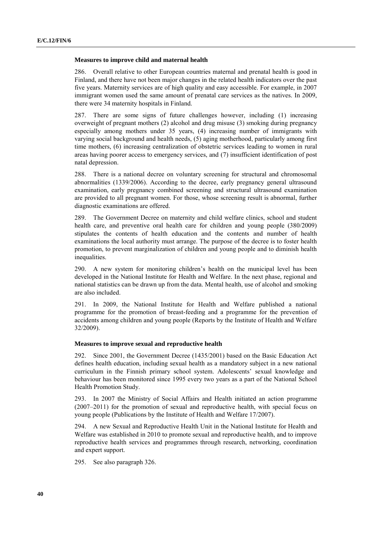#### **Measures to improve child and maternal health**

286. Overall relative to other European countries maternal and prenatal health is good in Finland, and there have not been major changes in the related health indicators over the past five years. Maternity services are of high quality and easy accessible. For example, in 2007 immigrant women used the same amount of prenatal care services as the natives. In 2009, there were 34 maternity hospitals in Finland.

287. There are some signs of future challenges however, including (1) increasing overweight of pregnant mothers (2) alcohol and drug misuse (3) smoking during pregnancy especially among mothers under 35 years, (4) increasing number of immigrants with varying social background and health needs, (5) aging motherhood, particularly among first time mothers, (6) increasing centralization of obstetric services leading to women in rural areas having poorer access to emergency services, and (7) insufficient identification of post natal depression.

288. There is a national decree on voluntary screening for structural and chromosomal abnormalities (1339/2006). According to the decree, early pregnancy general ultrasound examination, early pregnancy combined screening and structural ultrasound examination are provided to all pregnant women. For those, whose screening result is abnormal, further diagnostic examinations are offered.

289. The Government Decree on maternity and child welfare clinics, school and student health care, and preventive oral health care for children and young people (380/2009) stipulates the contents of health education and the contents and number of health examinations the local authority must arrange. The purpose of the decree is to foster health promotion, to prevent marginalization of children and young people and to diminish health inequalities.

290. A new system for monitoring children's health on the municipal level has been developed in the National Institute for Health and Welfare. In the next phase, regional and national statistics can be drawn up from the data. Mental health, use of alcohol and smoking are also included.

291. In 2009, the National Institute for Health and Welfare published a national programme for the promotion of breast-feeding and a programme for the prevention of accidents among children and young people (Reports by the Institute of Health and Welfare 32/2009).

#### **Measures to improve sexual and reproductive health**

292. Since 2001, the Government Decree (1435/2001) based on the Basic Education Act defines health education, including sexual health as a mandatory subject in a new national curriculum in the Finnish primary school system. Adolescents' sexual knowledge and behaviour has been monitored since 1995 every two years as a part of the National School Health Promotion Study.

293. In 2007 the Ministry of Social Affairs and Health initiated an action programme (2007–2011) for the promotion of sexual and reproductive health, with special focus on young people (Publications by the Institute of Health and Welfare 17/2007).

294. A new Sexual and Reproductive Health Unit in the National Institute for Health and Welfare was established in 2010 to promote sexual and reproductive health, and to improve reproductive health services and programmes through research, networking, coordination and expert support.

295. See also paragraph 326.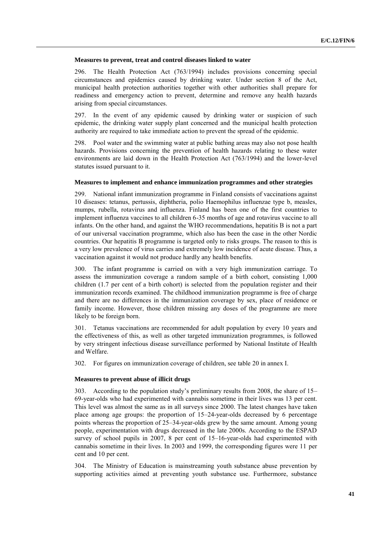## **Measures to prevent, treat and control diseases linked to water**

296. The Health Protection Act (763/1994) includes provisions concerning special circumstances and epidemics caused by drinking water. Under section 8 of the Act, municipal health protection authorities together with other authorities shall prepare for readiness and emergency action to prevent, determine and remove any health hazards arising from special circumstances.

297. In the event of any epidemic caused by drinking water or suspicion of such epidemic, the drinking water supply plant concerned and the municipal health protection authority are required to take immediate action to prevent the spread of the epidemic.

298. Pool water and the swimming water at public bathing areas may also not pose health hazards. Provisions concerning the prevention of health hazards relating to these water environments are laid down in the Health Protection Act (763/1994) and the lower-level statutes issued pursuant to it.

# **Measures to implement and enhance immunization programmes and other strategies**

299. National infant immunization programme in Finland consists of vaccinations against 10 diseases: tetanus, pertussis, diphtheria, polio Haemophilus influenzae type b, measles, mumps, rubella, rotavirus and influenza. Finland has been one of the first countries to implement influenza vaccines to all children 6-35 months of age and rotavirus vaccine to all infants. On the other hand, and against the WHO recommendations, hepatitis B is not a part of our universal vaccination programme, which also has been the case in the other Nordic countries. Our hepatitis B programme is targeted only to risks groups. The reason to this is a very low prevalence of virus carries and extremely low incidence of acute disease. Thus, a vaccination against it would not produce hardly any health benefits.

300. The infant programme is carried on with a very high immunization carriage. To assess the immunization coverage a random sample of a birth cohort, consisting 1,000 children (1.7 per cent of a birth cohort) is selected from the population register and their immunization records examined. The childhood immunization programme is free of charge and there are no differences in the immunization coverage by sex, place of residence or family income. However, those children missing any doses of the programme are more likely to be foreign born.

301. Tetanus vaccinations are recommended for adult population by every 10 years and the effectiveness of this, as well as other targeted immunization programmes, is followed by very stringent infectious disease surveillance performed by National Institute of Health and Welfare.

302. For figures on immunization coverage of children, see table 20 in annex I.

#### **Measures to prevent abuse of illicit drugs**

303. According to the population study's preliminary results from 2008, the share of 15– 69-year-olds who had experimented with cannabis sometime in their lives was 13 per cent. This level was almost the same as in all surveys since 2000. The latest changes have taken place among age groups: the proportion of 15–24-year-olds decreased by 6 percentage points whereas the proportion of 25–34-year-olds grew by the same amount. Among young people, experimentation with drugs decreased in the late 2000s. According to the ESPAD survey of school pupils in 2007, 8 per cent of 15–16-year-olds had experimented with cannabis sometime in their lives. In 2003 and 1999, the corresponding figures were 11 per cent and 10 per cent.

304. The Ministry of Education is mainstreaming youth substance abuse prevention by supporting activities aimed at preventing youth substance use. Furthermore, substance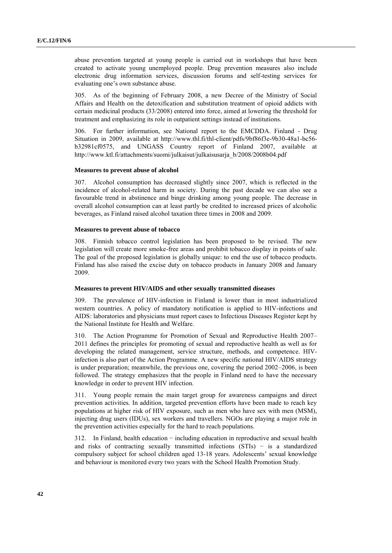abuse prevention targeted at young people is carried out in workshops that have been created to activate young unemployed people. Drug prevention measures also include electronic drug information services, discussion forums and self-testing services for evaluating one's own substance abuse.

305. As of the beginning of February 2008, a new Decree of the Ministry of Social Affairs and Health on the detoxification and substitution treatment of opioid addicts with certain medicinal products (33/2008) entered into force, aimed at lowering the threshold for treatment and emphasizing its role in outpatient settings instead of institutions.

306. For further information, see National report to the EMCDDA. Finland - Drug Situation in 2009, available at http://www.thl.fi/thl-client/pdfs/9bf86f3e-9b30-48a1-bc56 b32981cf0575, and UNGASS Country report of Finland 2007, available at http://www.ktl.fi/attachments/suomi/julkaisut/julkaisusarja\_b/2008/2008b04.pdf

## **Measures to prevent abuse of alcohol**

307. Alcohol consumption has decreased slightly since 2007, which is reflected in the incidence of alcohol-related harm in society. During the past decade we can also see a favourable trend in abstinence and binge drinking among young people. The decrease in overall alcohol consumption can at least partly be credited to increased prices of alcoholic beverages, as Finland raised alcohol taxation three times in 2008 and 2009.

#### **Measures to prevent abuse of tobacco**

308. Finnish tobacco control legislation has been proposed to be revised. The new legislation will create more smoke-free areas and prohibit tobacco display in points of sale. The goal of the proposed legislation is globally unique: to end the use of tobacco products. Finland has also raised the excise duty on tobacco products in January 2008 and January 2009.

#### **Measures to prevent HIV/AIDS and other sexually transmitted diseases**

309. The prevalence of HIV-infection in Finland is lower than in most industrialized western countries. A policy of mandatory notification is applied to HIV-infections and AIDS: laboratories and physicians must report cases to Infectious Diseases Register kept by the National Institute for Health and Welfare.

310. The Action Programme for Promotion of Sexual and Reproductive Health 2007– 2011 defines the principles for promoting of sexual and reproductive health as well as for developing the related management, service structure, methods, and competence. HIVinfection is also part of the Action Programme. A new specific national HIV/AIDS strategy is under preparation; meanwhile, the previous one, covering the period 2002–2006, is been followed. The strategy emphasizes that the people in Finland need to have the necessary knowledge in order to prevent HIV infection.

311. Young people remain the main target group for awareness campaigns and direct prevention activities. In addition, targeted prevention efforts have been made to reach key populations at higher risk of HIV exposure, such as men who have sex with men (MSM), injecting drug users (IDUs), sex workers and travellers. NGOs are playing a major role in the prevention activities especially for the hard to reach populations.

312. In Finland, health education − including education in reproductive and sexual health and risks of contracting sexually transmitted infections (STIs) − is a standardized compulsory subject for school children aged 13-18 years. Adolescents' sexual knowledge and behaviour is monitored every two years with the School Health Promotion Study.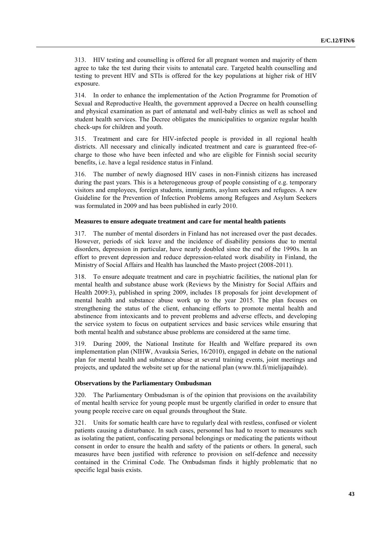313. HIV testing and counselling is offered for all pregnant women and majority of them agree to take the test during their visits to antenatal care. Targeted health counselling and testing to prevent HIV and STIs is offered for the key populations at higher risk of HIV exposure.

314. In order to enhance the implementation of the Action Programme for Promotion of Sexual and Reproductive Health, the government approved a Decree on health counselling and physical examination as part of antenatal and well-baby clinics as well as school and student health services. The Decree obligates the municipalities to organize regular health check-ups for children and youth.

315. Treatment and care for HIV-infected people is provided in all regional health districts. All necessary and clinically indicated treatment and care is guaranteed free-ofcharge to those who have been infected and who are eligible for Finnish social security benefits, i.e. have a legal residence status in Finland.

316. The number of newly diagnosed HIV cases in non-Finnish citizens has increased during the past years. This is a heterogeneous group of people consisting of e.g. temporary visitors and employees, foreign students, immigrants, asylum seekers and refugees. A new Guideline for the Prevention of Infection Problems among Refugees and Asylum Seekers was formulated in 2009 and has been published in early 2010.

#### **Measures to ensure adequate treatment and care for mental health patients**

317. The number of mental disorders in Finland has not increased over the past decades. However, periods of sick leave and the incidence of disability pensions due to mental disorders, depression in particular, have nearly doubled since the end of the 1990s. In an effort to prevent depression and reduce depression-related work disability in Finland, the Ministry of Social Affairs and Health has launched the Masto project (2008-2011).

318. To ensure adequate treatment and care in psychiatric facilities, the national plan for mental health and substance abuse work (Reviews by the Ministry for Social Affairs and Health 2009:3), published in spring 2009, includes 18 proposals for joint development of mental health and substance abuse work up to the year 2015. The plan focuses on strengthening the status of the client, enhancing efforts to promote mental health and abstinence from intoxicants and to prevent problems and adverse effects, and developing the service system to focus on outpatient services and basic services while ensuring that both mental health and substance abuse problems are considered at the same time.

319. During 2009, the National Institute for Health and Welfare prepared its own implementation plan (NIHW, Avauksia Series, 16/2010), engaged in debate on the national plan for mental health and substance abuse at several training events, joint meetings and projects, and updated the website set up for the national plan (www.thl.fi/mielijapaihde).

# **Observations by the Parliamentary Ombudsman**

320. The Parliamentary Ombudsman is of the opinion that provisions on the availability of mental health service for young people must be urgently clarified in order to ensure that young people receive care on equal grounds throughout the State.

321. Units for somatic health care have to regularly deal with restless, confused or violent patients causing a disturbance. In such cases, personnel has had to resort to measures such as isolating the patient, confiscating personal belongings or medicating the patients without consent in order to ensure the health and safety of the patients or others. In general, such measures have been justified with reference to provision on self-defence and necessity contained in the Criminal Code. The Ombudsman finds it highly problematic that no specific legal basis exists.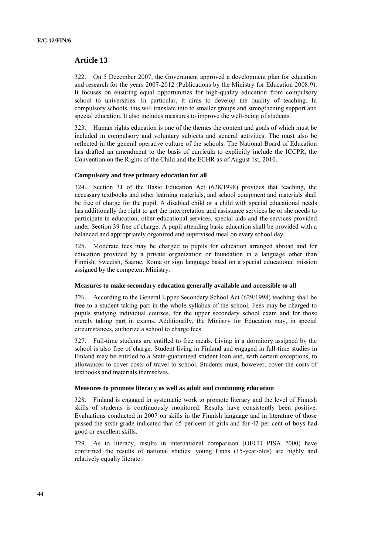# **Article 13**

322. On 5 December 2007, the Government approved a development plan for education and research for the years 2007-2012 (Publications by the Ministry for Education 2008:9). It focuses on ensuring equal opportunities for high-quality education from compulsory school to universities. In particular, it aims to develop the quality of teaching. In compulsory schools, this will translate into to smaller groups and strengthening support and special education. It also includes measures to improve the well-being of students.

323. Human rights education is one of the themes the content and goals of which must be included in compulsory and voluntary subjects and general activities. The must also be reflected in the general operative culture of the schools. The National Board of Education has drafted an amendment to the basis of curricula to explicitly include the ICCPR, the Convention on the Rights of the Child and the ECHR as of August 1st, 2010.

#### **Compulsory and free primary education for all**

324. Section 31 of the Basic Education Act (628/1998) provides that teaching, the necessary textbooks and other learning materials, and school equipment and materials shall be free of charge for the pupil. A disabled child or a child with special educational needs has additionally the right to get the interpretation and assistance services he or she needs to participate in education, other educational services, special aids and the services provided under Section 39 free of charge. A pupil attending basic education shall be provided with a balanced and appropriately organized and supervised meal on every school day.

325. Moderate fees may be charged to pupils for education arranged abroad and for education provided by a private organization or foundation in a language other than Finnish, Swedish, Saame, Roma or sign language based on a special educational mission assigned by the competent Ministry.

#### **Measures to make secondary education generally available and accessible to all**

326. According to the General Upper Secondary School Act (629/1998) teaching shall be free to a student taking part in the whole syllabus of the school. Fees may be charged to pupils studying individual courses, for the upper secondary school exam and for those merely taking part in exams. Additionally, the Ministry for Education may, in special circumstances, authorize a school to charge fees.

327. Full-time students are entitled to free meals. Living in a dormitory assigned by the school is also free of charge. Student living in Finland and engaged in full-time studies in Finland may be entitled to a State-guaranteed student loan and, with certain exceptions, to allowances to cover costs of travel to school. Students must, however, cover the costs of textbooks and materials themselves.

# **Measures to promote literacy as well as adult and continuing education**

328. Finland is engaged in systematic work to promote literacy and the level of Finnish skills of students is continuously monitored. Results have consistently been positive. Evaluations conducted in 2007 on skills in the Finnish language and in literature of those passed the sixth grade indicated that 65 per cent of girls and for 42 per cent of boys had good or excellent skills.

329. As to literacy, results in international comparison (OECD PISA 2000) have confirmed the results of national studies: young Finns (15-year-olds) are highly and relatively equally literate.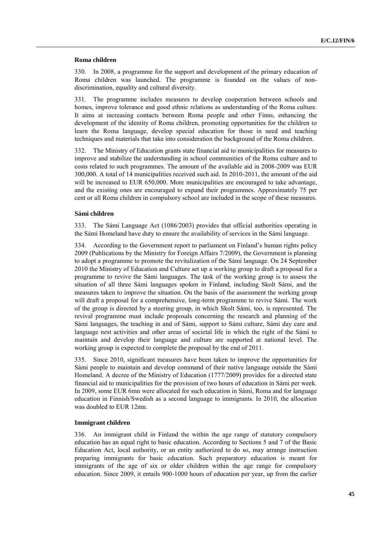#### **Roma children**

330. In 2008, a programme for the support and development of the primary education of Roma children was launched. The programme is founded on the values of nondiscrimination, equality and cultural diversity.

331. The programme includes measures to develop cooperation between schools and homes, improve tolerance and good ethnic relations as understanding of the Roma culture. It aims at increasing contacts between Roma people and other Finns, enhancing the development of the identity of Roma children, promoting opportunities for the children to learn the Roma language, develop special education for those in need and teaching techniques and materials that take into consideration the background of the Roma children.

332. The Ministry of Education grants state financial aid to municipalities for measures to improve and stabilize the understanding in school communities of the Roma culture and to costs related to such programmes. The amount of the available aid in 2008-2009 was EUR 300,000. A total of 14 municipalities received such aid. In 2010-2011, the amount of the aid will be increased to EUR 650,000. More municipalities are encouraged to take advantage, and the existing ones are encouraged to expand their programmes. Approximately 75 per cent or all Roma children in compulsory school are included in the scope of these measures.

#### **Sámi children**

333. The Sámi Language Act (1086/2003) provides that official authorities operating in the Sámi Homeland have duty to ensure the availability of services in the Sámi language.

According to the Government report to parliament on Finland's human rights policy 2009 (Publications by the Ministry for Foreign Affairs 7/2009), the Government is planning to adopt a programme to promote the revitalization of the Sámi language. On 24 September 2010 the Ministry of Education and Culture set up a working group to draft a proposal for a programme to revive the Sámi languages. The task of the working group is to assess the situation of all three Sámi languages spoken in Finland, including Skolt Sámi, and the measures taken to improve the situation. On the basis of the assessment the working group will draft a proposal for a comprehensive, long-term programme to revive Sámi. The work of the group is directed by a steering group, in which Skolt Sámi, too, is represented. The revival programme must include proposals concerning the research and planning of the Sámi languages, the teaching in and of Sámi, support to Sámi culture, Sámi day care and language nest activities and other areas of societal life in which the right of the Sámi to maintain and develop their language and culture are supported at national level. The working group is expected to complete the proposal by the end of 2011.

335. Since 2010, significant measures have been taken to improve the opportunities for Sámi people to maintain and develop command of their native language outside the Sámi Homeland. A decree of the Ministry of Education (1777/2009) provides for a directed state financial aid to municipalities for the provision of two hours of education in Sámi per week. In 2009, some EUR 6mn were allocated for such education in Sámi, Roma and for language education in Finnish/Swedish as a second language to immigrants. In 2010, the allocation was doubled to EUR 12mn.

#### **Immigrant children**

336. An immigrant child in Finland the within the age range of statutory compulsory education has an equal right to basic education. According to Sections 5 and 7 of the Basic Education Act, local authority, or an entity authorized to do so, may arrange instruction preparing immigrants for basic education. Such preparatory education is meant for immigrants of the age of six or older children within the age range for compulsory education. Since 2009, it entails 900-1000 hours of education per year, up from the earlier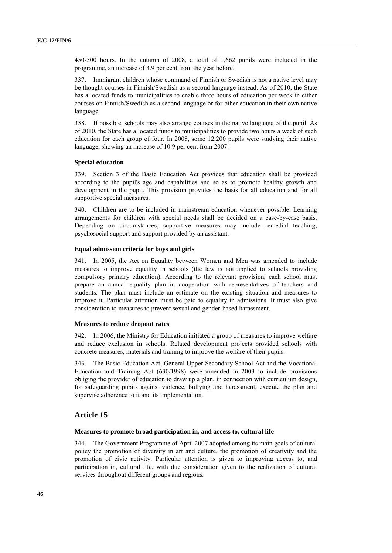450-500 hours. In the autumn of 2008, a total of 1,662 pupils were included in the programme, an increase of 3.9 per cent from the year before.

337. Immigrant children whose command of Finnish or Swedish is not a native level may be thought courses in Finnish/Swedish as a second language instead. As of 2010, the State has allocated funds to municipalities to enable three hours of education per week in either courses on Finnish/Swedish as a second language or for other education in their own native language.

338. If possible, schools may also arrange courses in the native language of the pupil. As of 2010, the State has allocated funds to municipalities to provide two hours a week of such education for each group of four. In 2008, some 12,200 pupils were studying their native language, showing an increase of 10.9 per cent from 2007.

## **Special education**

339. Section 3 of the Basic Education Act provides that education shall be provided according to the pupil's age and capabilities and so as to promote healthy growth and development in the pupil. This provision provides the basis for all education and for all supportive special measures.

340. Children are to be included in mainstream education whenever possible. Learning arrangements for children with special needs shall be decided on a case-by-case basis. Depending on circumstances, supportive measures may include remedial teaching, psychosocial support and support provided by an assistant.

# **Equal admission criteria for boys and girls**

341. In 2005, the Act on Equality between Women and Men was amended to include measures to improve equality in schools (the law is not applied to schools providing compulsory primary education). According to the relevant provision, each school must prepare an annual equality plan in cooperation with representatives of teachers and students. The plan must include an estimate on the existing situation and measures to improve it. Particular attention must be paid to equality in admissions. It must also give consideration to measures to prevent sexual and gender-based harassment.

#### **Measures to reduce dropout rates**

342. In 2006, the Ministry for Education initiated a group of measures to improve welfare and reduce exclusion in schools. Related development projects provided schools with concrete measures, materials and training to improve the welfare of their pupils.

343. The Basic Education Act, General Upper Secondary School Act and the Vocational Education and Training Act (630/1998) were amended in 2003 to include provisions obliging the provider of education to draw up a plan, in connection with curriculum design, for safeguarding pupils against violence, bullying and harassment, execute the plan and supervise adherence to it and its implementation.

# **Article 15**

#### **Measures to promote broad participation in, and access to, cultural life**

344. The Government Programme of April 2007 adopted among its main goals of cultural policy the promotion of diversity in art and culture, the promotion of creativity and the promotion of civic activity. Particular attention is given to improving access to, and participation in, cultural life, with due consideration given to the realization of cultural services throughout different groups and regions.